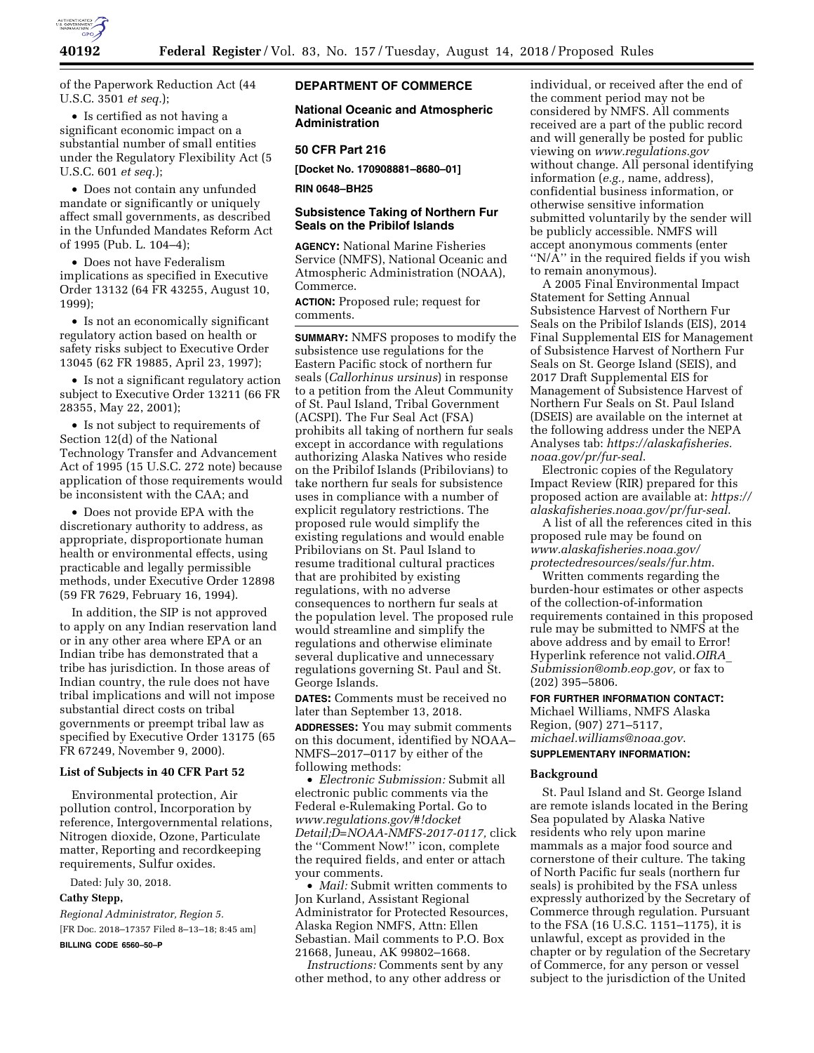

of the Paperwork Reduction Act (44 U.S.C. 3501 *et seq.*);

• Is certified as not having a significant economic impact on a substantial number of small entities under the Regulatory Flexibility Act (5 U.S.C. 601 *et seq.*);

• Does not contain any unfunded mandate or significantly or uniquely affect small governments, as described in the Unfunded Mandates Reform Act of 1995 (Pub. L. 104–4);

• Does not have Federalism implications as specified in Executive Order 13132 (64 FR 43255, August 10, 1999);

• Is not an economically significant regulatory action based on health or safety risks subject to Executive Order 13045 (62 FR 19885, April 23, 1997);

• Is not a significant regulatory action subject to Executive Order 13211 (66 FR 28355, May 22, 2001);

• Is not subject to requirements of Section 12(d) of the National Technology Transfer and Advancement Act of 1995 (15 U.S.C. 272 note) because application of those requirements would be inconsistent with the CAA; and

• Does not provide EPA with the discretionary authority to address, as appropriate, disproportionate human health or environmental effects, using practicable and legally permissible methods, under Executive Order 12898 (59 FR 7629, February 16, 1994).

In addition, the SIP is not approved to apply on any Indian reservation land or in any other area where EPA or an Indian tribe has demonstrated that a tribe has jurisdiction. In those areas of Indian country, the rule does not have tribal implications and will not impose substantial direct costs on tribal governments or preempt tribal law as specified by Executive Order 13175 (65 FR 67249, November 9, 2000).

## **List of Subjects in 40 CFR Part 52**

Environmental protection, Air pollution control, Incorporation by reference, Intergovernmental relations, Nitrogen dioxide, Ozone, Particulate matter, Reporting and recordkeeping requirements, Sulfur oxides.

Dated: July 30, 2018.

## **Cathy Stepp,**

*Regional Administrator, Region 5.*  [FR Doc. 2018–17357 Filed 8–13–18; 8:45 am] **BILLING CODE 6560–50–P** 

**DEPARTMENT OF COMMERCE** 

**National Oceanic and Atmospheric Administration** 

### **50 CFR Part 216**

**[Docket No. 170908881–8680–01]** 

#### **RIN 0648–BH25**

## **Subsistence Taking of Northern Fur Seals on the Pribilof Islands**

**AGENCY:** National Marine Fisheries Service (NMFS), National Oceanic and Atmospheric Administration (NOAA), Commerce.

**ACTION:** Proposed rule; request for comments.

**SUMMARY:** NMFS proposes to modify the subsistence use regulations for the Eastern Pacific stock of northern fur seals (*Callorhinus ursinus*) in response to a petition from the Aleut Community of St. Paul Island, Tribal Government (ACSPI). The Fur Seal Act (FSA) prohibits all taking of northern fur seals except in accordance with regulations authorizing Alaska Natives who reside on the Pribilof Islands (Pribilovians) to take northern fur seals for subsistence uses in compliance with a number of explicit regulatory restrictions. The proposed rule would simplify the existing regulations and would enable Pribilovians on St. Paul Island to resume traditional cultural practices that are prohibited by existing regulations, with no adverse consequences to northern fur seals at the population level. The proposed rule would streamline and simplify the regulations and otherwise eliminate several duplicative and unnecessary regulations governing St. Paul and St. George Islands.

**DATES:** Comments must be received no later than September 13, 2018.

**ADDRESSES:** You may submit comments on this document, identified by NOAA– NMFS–2017–0117 by either of the following methods:

• *Electronic Submission:* Submit all electronic public comments via the Federal e-Rulemaking Portal. Go to *[www.regulations.gov/#!docket](http://www.regulations.gov/#!docketDetail;D=NOAA-NMFS-2017-0117) [Detail;D=NOAA-NMFS-2017-0117,](http://www.regulations.gov/#!docketDetail;D=NOAA-NMFS-2017-0117)* click the ''Comment Now!'' icon, complete the required fields, and enter or attach your comments.

• *Mail:* Submit written comments to Jon Kurland, Assistant Regional Administrator for Protected Resources, Alaska Region NMFS, Attn: Ellen Sebastian. Mail comments to P.O. Box 21668, Juneau, AK 99802–1668.

*Instructions:* Comments sent by any other method, to any other address or

individual, or received after the end of the comment period may not be considered by NMFS. All comments received are a part of the public record and will generally be posted for public viewing on *[www.regulations.gov](http://www.regulations.gov)*  without change. All personal identifying information (*e.g.,* name, address), confidential business information, or otherwise sensitive information submitted voluntarily by the sender will be publicly accessible. NMFS will accept anonymous comments (enter ''N/A'' in the required fields if you wish to remain anonymous).

A 2005 Final Environmental Impact Statement for Setting Annual Subsistence Harvest of Northern Fur Seals on the Pribilof Islands (EIS), 2014 Final Supplemental EIS for Management of Subsistence Harvest of Northern Fur Seals on St. George Island (SEIS), and 2017 Draft Supplemental EIS for Management of Subsistence Harvest of Northern Fur Seals on St. Paul Island (DSEIS) are available on the internet at the following address under the NEPA Analyses tab: *[https://alaskafisheries.](https://alaskafisheries.noaa.gov/pr/fur-seal) [noaa.gov/pr/fur-seal](https://alaskafisheries.noaa.gov/pr/fur-seal)*.

Electronic copies of the Regulatory Impact Review (RIR) prepared for this proposed action are available at: *[https://](https://alaskafisheries.noaa.gov/pr/fur-seal) [alaskafisheries.noaa.gov/pr/fur-seal](https://alaskafisheries.noaa.gov/pr/fur-seal)*.

A list of all the references cited in this proposed rule may be found on *[www.alaskafisheries.noaa.gov/](http://www.alaskafisheries.noaa.gov/protectedresources/seals/fur.htm)  [protectedresources/seals/fur.htm](http://www.alaskafisheries.noaa.gov/protectedresources/seals/fur.htm)*.

Written comments regarding the burden-hour estimates or other aspects of the collection-of-information requirements contained in this proposed rule may be submitted to NMFS at the above address and by email to Error! Hyperlink reference not valid.*[OIRA](mailto:OIRA_Submission@omb.eop.gov)*\_ *[Submission@omb.eop.gov,](mailto:OIRA_Submission@omb.eop.gov)* or fax to (202) 395–5806.

#### **FOR FURTHER INFORMATION CONTACT:**

Michael Williams, NMFS Alaska Region, (907) 271–5117, *[michael.williams@noaa.gov](mailto:michael.williams@noaa.gov)*. **SUPPLEMENTARY INFORMATION:** 

# **Background**

St. Paul Island and St. George Island are remote islands located in the Bering Sea populated by Alaska Native residents who rely upon marine mammals as a major food source and cornerstone of their culture. The taking of North Pacific fur seals (northern fur seals) is prohibited by the FSA unless expressly authorized by the Secretary of Commerce through regulation. Pursuant to the FSA (16 U.S.C. 1151–1175), it is unlawful, except as provided in the chapter or by regulation of the Secretary of Commerce, for any person or vessel subject to the jurisdiction of the United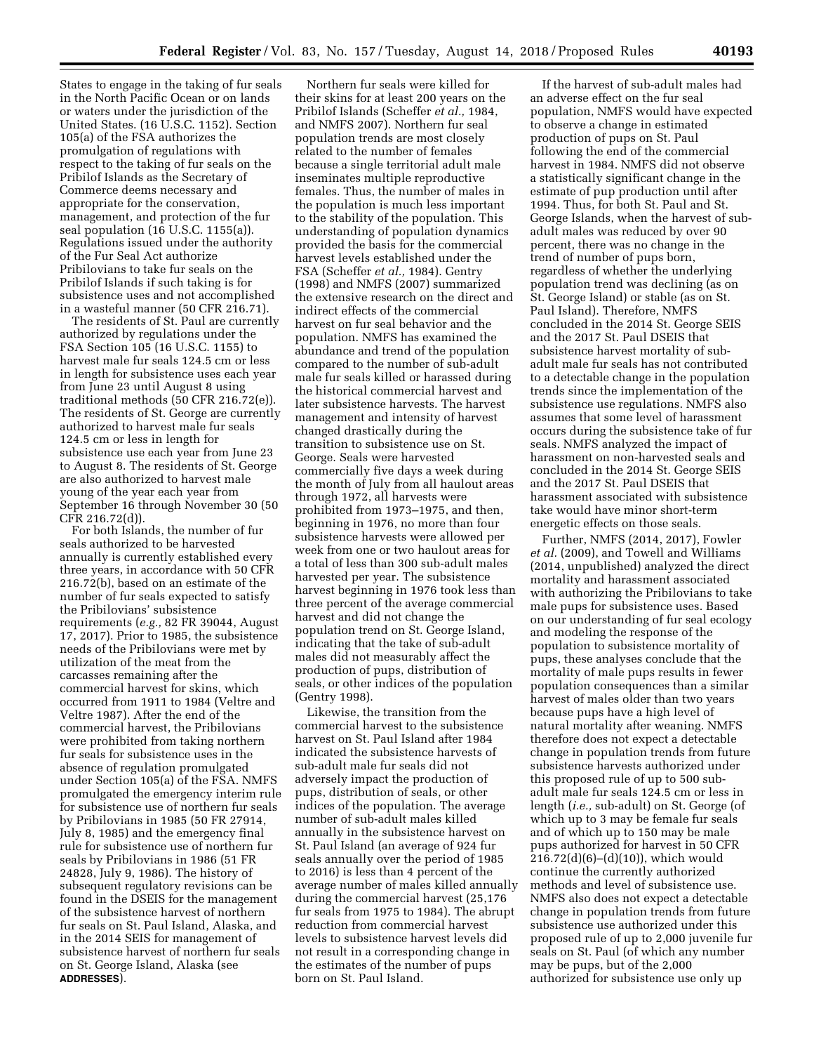States to engage in the taking of fur seals in the North Pacific Ocean or on lands or waters under the jurisdiction of the United States. (16 U.S.C. 1152). Section 105(a) of the FSA authorizes the promulgation of regulations with respect to the taking of fur seals on the Pribilof Islands as the Secretary of Commerce deems necessary and appropriate for the conservation, management, and protection of the fur seal population (16 U.S.C. 1155(a)). Regulations issued under the authority of the Fur Seal Act authorize Pribilovians to take fur seals on the Pribilof Islands if such taking is for subsistence uses and not accomplished in a wasteful manner (50 CFR 216.71).

The residents of St. Paul are currently authorized by regulations under the FSA Section 105 (16 U.S.C. 1155) to harvest male fur seals 124.5 cm or less in length for subsistence uses each year from June 23 until August 8 using traditional methods (50 CFR 216.72(e)). The residents of St. George are currently authorized to harvest male fur seals 124.5 cm or less in length for subsistence use each year from June 23 to August 8. The residents of St. George are also authorized to harvest male young of the year each year from September 16 through November 30 (50 CFR 216.72(d)).

For both Islands, the number of fur seals authorized to be harvested annually is currently established every three years, in accordance with 50 CFR 216.72(b), based on an estimate of the number of fur seals expected to satisfy the Pribilovians' subsistence requirements (*e.g.,* 82 FR 39044, August 17, 2017). Prior to 1985, the subsistence needs of the Pribilovians were met by utilization of the meat from the carcasses remaining after the commercial harvest for skins, which occurred from 1911 to 1984 (Veltre and Veltre 1987). After the end of the commercial harvest, the Pribilovians were prohibited from taking northern fur seals for subsistence uses in the absence of regulation promulgated under Section 105(a) of the FSA. NMFS promulgated the emergency interim rule for subsistence use of northern fur seals by Pribilovians in 1985 (50 FR 27914, July 8, 1985) and the emergency final rule for subsistence use of northern fur seals by Pribilovians in 1986 (51 FR 24828, July 9, 1986). The history of subsequent regulatory revisions can be found in the DSEIS for the management of the subsistence harvest of northern fur seals on St. Paul Island, Alaska, and in the 2014 SEIS for management of subsistence harvest of northern fur seals on St. George Island, Alaska (see **ADDRESSES**).

Northern fur seals were killed for their skins for at least 200 years on the Pribilof Islands (Scheffer *et al.,* 1984, and NMFS 2007). Northern fur seal population trends are most closely related to the number of females because a single territorial adult male inseminates multiple reproductive females. Thus, the number of males in the population is much less important to the stability of the population. This understanding of population dynamics provided the basis for the commercial harvest levels established under the FSA (Scheffer *et al.,* 1984). Gentry (1998) and NMFS (2007) summarized the extensive research on the direct and indirect effects of the commercial harvest on fur seal behavior and the population. NMFS has examined the abundance and trend of the population compared to the number of sub-adult male fur seals killed or harassed during the historical commercial harvest and later subsistence harvests. The harvest management and intensity of harvest changed drastically during the transition to subsistence use on St. George. Seals were harvested commercially five days a week during the month of July from all haulout areas through 1972, all harvests were prohibited from 1973–1975, and then, beginning in 1976, no more than four subsistence harvests were allowed per week from one or two haulout areas for a total of less than 300 sub-adult males harvested per year. The subsistence harvest beginning in 1976 took less than three percent of the average commercial harvest and did not change the population trend on St. George Island, indicating that the take of sub-adult males did not measurably affect the production of pups, distribution of seals, or other indices of the population (Gentry 1998).

Likewise, the transition from the commercial harvest to the subsistence harvest on St. Paul Island after 1984 indicated the subsistence harvests of sub-adult male fur seals did not adversely impact the production of pups, distribution of seals, or other indices of the population. The average number of sub-adult males killed annually in the subsistence harvest on St. Paul Island (an average of 924 fur seals annually over the period of 1985 to 2016) is less than 4 percent of the average number of males killed annually during the commercial harvest (25,176 fur seals from 1975 to 1984). The abrupt reduction from commercial harvest levels to subsistence harvest levels did not result in a corresponding change in the estimates of the number of pups born on St. Paul Island.

If the harvest of sub-adult males had an adverse effect on the fur seal population, NMFS would have expected to observe a change in estimated production of pups on St. Paul following the end of the commercial harvest in 1984. NMFS did not observe a statistically significant change in the estimate of pup production until after 1994. Thus, for both St. Paul and St. George Islands, when the harvest of subadult males was reduced by over 90 percent, there was no change in the trend of number of pups born, regardless of whether the underlying population trend was declining (as on St. George Island) or stable (as on St. Paul Island). Therefore, NMFS concluded in the 2014 St. George SEIS and the 2017 St. Paul DSEIS that subsistence harvest mortality of subadult male fur seals has not contributed to a detectable change in the population trends since the implementation of the subsistence use regulations. NMFS also assumes that some level of harassment occurs during the subsistence take of fur seals. NMFS analyzed the impact of harassment on non-harvested seals and concluded in the 2014 St. George SEIS and the 2017 St. Paul DSEIS that harassment associated with subsistence take would have minor short-term energetic effects on those seals.

Further, NMFS (2014, 2017), Fowler *et al.* (2009), and Towell and Williams (2014, unpublished) analyzed the direct mortality and harassment associated with authorizing the Pribilovians to take male pups for subsistence uses. Based on our understanding of fur seal ecology and modeling the response of the population to subsistence mortality of pups, these analyses conclude that the mortality of male pups results in fewer population consequences than a similar harvest of males older than two years because pups have a high level of natural mortality after weaning. NMFS therefore does not expect a detectable change in population trends from future subsistence harvests authorized under this proposed rule of up to 500 subadult male fur seals 124.5 cm or less in length (*i.e.,* sub-adult) on St. George (of which up to 3 may be female fur seals and of which up to 150 may be male pups authorized for harvest in 50 CFR 216.72(d)(6)–(d)(10)), which would continue the currently authorized methods and level of subsistence use. NMFS also does not expect a detectable change in population trends from future subsistence use authorized under this proposed rule of up to 2,000 juvenile fur seals on St. Paul (of which any number may be pups, but of the 2,000 authorized for subsistence use only up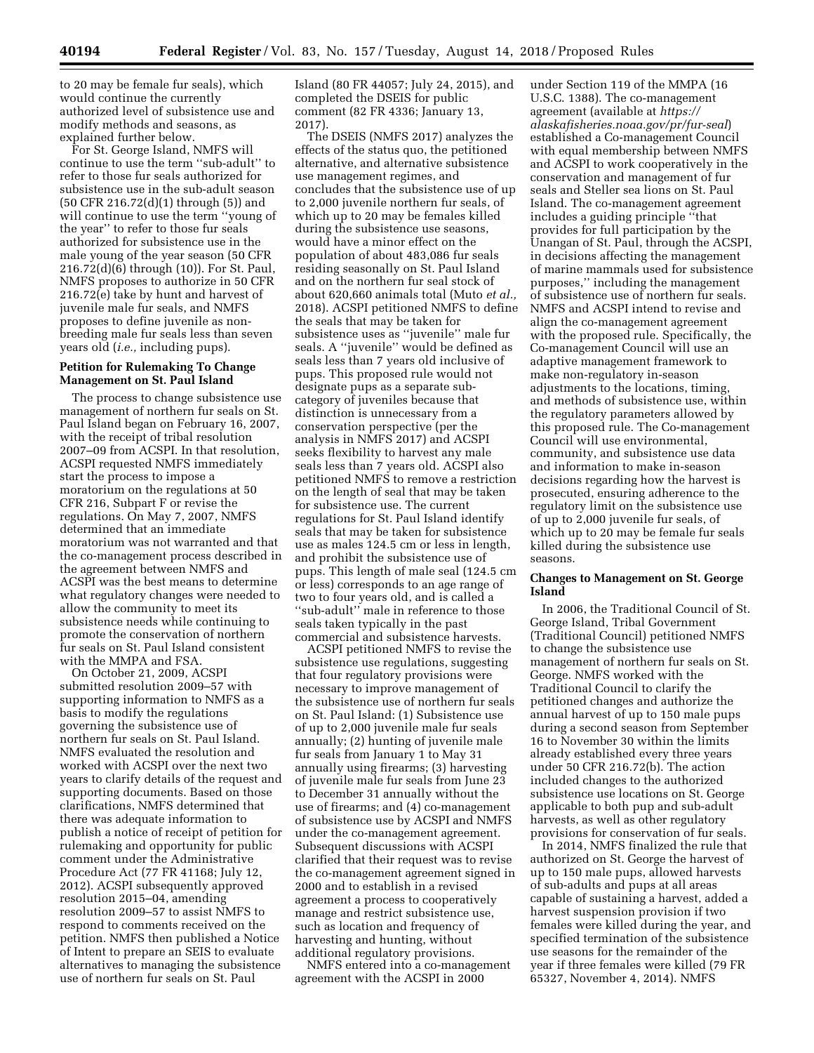to 20 may be female fur seals), which would continue the currently authorized level of subsistence use and modify methods and seasons, as explained further below.

For St. George Island, NMFS will continue to use the term ''sub-adult'' to refer to those fur seals authorized for subsistence use in the sub-adult season (50 CFR 216.72(d)(1) through (5)) and will continue to use the term ''young of the year'' to refer to those fur seals authorized for subsistence use in the male young of the year season (50 CFR 216.72(d)(6) through (10)). For St. Paul, NMFS proposes to authorize in 50 CFR 216.72(e) take by hunt and harvest of juvenile male fur seals, and NMFS proposes to define juvenile as nonbreeding male fur seals less than seven years old (*i.e.,* including pups).

#### **Petition for Rulemaking To Change Management on St. Paul Island**

The process to change subsistence use management of northern fur seals on St. Paul Island began on February 16, 2007, with the receipt of tribal resolution 2007–09 from ACSPI. In that resolution, ACSPI requested NMFS immediately start the process to impose a moratorium on the regulations at 50 CFR 216, Subpart F or revise the regulations. On May 7, 2007, NMFS determined that an immediate moratorium was not warranted and that the co-management process described in the agreement between NMFS and ACSPI was the best means to determine what regulatory changes were needed to allow the community to meet its subsistence needs while continuing to promote the conservation of northern fur seals on St. Paul Island consistent with the MMPA and FSA.

On October 21, 2009, ACSPI submitted resolution 2009–57 with supporting information to NMFS as a basis to modify the regulations governing the subsistence use of northern fur seals on St. Paul Island. NMFS evaluated the resolution and worked with ACSPI over the next two years to clarify details of the request and supporting documents. Based on those clarifications, NMFS determined that there was adequate information to publish a notice of receipt of petition for rulemaking and opportunity for public comment under the Administrative Procedure Act (77 FR 41168; July 12, 2012). ACSPI subsequently approved resolution 2015–04, amending resolution 2009–57 to assist NMFS to respond to comments received on the petition. NMFS then published a Notice of Intent to prepare an SEIS to evaluate alternatives to managing the subsistence use of northern fur seals on St. Paul

Island (80 FR 44057; July 24, 2015), and completed the DSEIS for public comment (82 FR 4336; January 13, 2017).

The DSEIS (NMFS 2017) analyzes the effects of the status quo, the petitioned alternative, and alternative subsistence use management regimes, and concludes that the subsistence use of up to 2,000 juvenile northern fur seals, of which up to 20 may be females killed during the subsistence use seasons, would have a minor effect on the population of about 483,086 fur seals residing seasonally on St. Paul Island and on the northern fur seal stock of about 620,660 animals total (Muto *et al.,*  2018). ACSPI petitioned NMFS to define the seals that may be taken for subsistence uses as ''juvenile'' male fur seals. A ''juvenile'' would be defined as seals less than 7 years old inclusive of pups. This proposed rule would not designate pups as a separate subcategory of juveniles because that distinction is unnecessary from a conservation perspective (per the analysis in NMFS 2017) and ACSPI seeks flexibility to harvest any male seals less than 7 years old. ACSPI also petitioned NMFS to remove a restriction on the length of seal that may be taken for subsistence use. The current regulations for St. Paul Island identify seals that may be taken for subsistence use as males 124.5 cm or less in length, and prohibit the subsistence use of pups. This length of male seal (124.5 cm or less) corresponds to an age range of two to four years old, and is called a ''sub-adult'' male in reference to those seals taken typically in the past commercial and subsistence harvests.

ACSPI petitioned NMFS to revise the subsistence use regulations, suggesting that four regulatory provisions were necessary to improve management of the subsistence use of northern fur seals on St. Paul Island: (1) Subsistence use of up to 2,000 juvenile male fur seals annually; (2) hunting of juvenile male fur seals from January 1 to May 31 annually using firearms; (3) harvesting of juvenile male fur seals from June 23 to December 31 annually without the use of firearms; and (4) co-management of subsistence use by ACSPI and NMFS under the co-management agreement. Subsequent discussions with ACSPI clarified that their request was to revise the co-management agreement signed in 2000 and to establish in a revised agreement a process to cooperatively manage and restrict subsistence use, such as location and frequency of harvesting and hunting, without additional regulatory provisions.

NMFS entered into a co-management agreement with the ACSPI in 2000

under Section 119 of the MMPA (16 U.S.C. 1388). The co-management agreement (available at *[https://](https://alaskafisheries.noaa.gov/pr/fur-seal) [alaskafisheries.noaa.gov/pr/fur-seal](https://alaskafisheries.noaa.gov/pr/fur-seal)*) established a Co-management Council with equal membership between NMFS and ACSPI to work cooperatively in the conservation and management of fur seals and Steller sea lions on St. Paul Island. The co-management agreement includes a guiding principle ''that provides for full participation by the Unangan of St. Paul, through the ACSPI, in decisions affecting the management of marine mammals used for subsistence purposes,'' including the management of subsistence use of northern fur seals. NMFS and ACSPI intend to revise and align the co-management agreement with the proposed rule. Specifically, the Co-management Council will use an adaptive management framework to make non-regulatory in-season adjustments to the locations, timing, and methods of subsistence use, within the regulatory parameters allowed by this proposed rule. The Co-management Council will use environmental, community, and subsistence use data and information to make in-season decisions regarding how the harvest is prosecuted, ensuring adherence to the regulatory limit on the subsistence use of up to 2,000 juvenile fur seals, of which up to 20 may be female fur seals killed during the subsistence use seasons.

### **Changes to Management on St. George Island**

In 2006, the Traditional Council of St. George Island, Tribal Government (Traditional Council) petitioned NMFS to change the subsistence use management of northern fur seals on St. George. NMFS worked with the Traditional Council to clarify the petitioned changes and authorize the annual harvest of up to 150 male pups during a second season from September 16 to November 30 within the limits already established every three years under 50 CFR 216.72(b). The action included changes to the authorized subsistence use locations on St. George applicable to both pup and sub-adult harvests, as well as other regulatory provisions for conservation of fur seals.

In 2014, NMFS finalized the rule that authorized on St. George the harvest of up to 150 male pups, allowed harvests of sub-adults and pups at all areas capable of sustaining a harvest, added a harvest suspension provision if two females were killed during the year, and specified termination of the subsistence use seasons for the remainder of the year if three females were killed (79 FR 65327, November 4, 2014). NMFS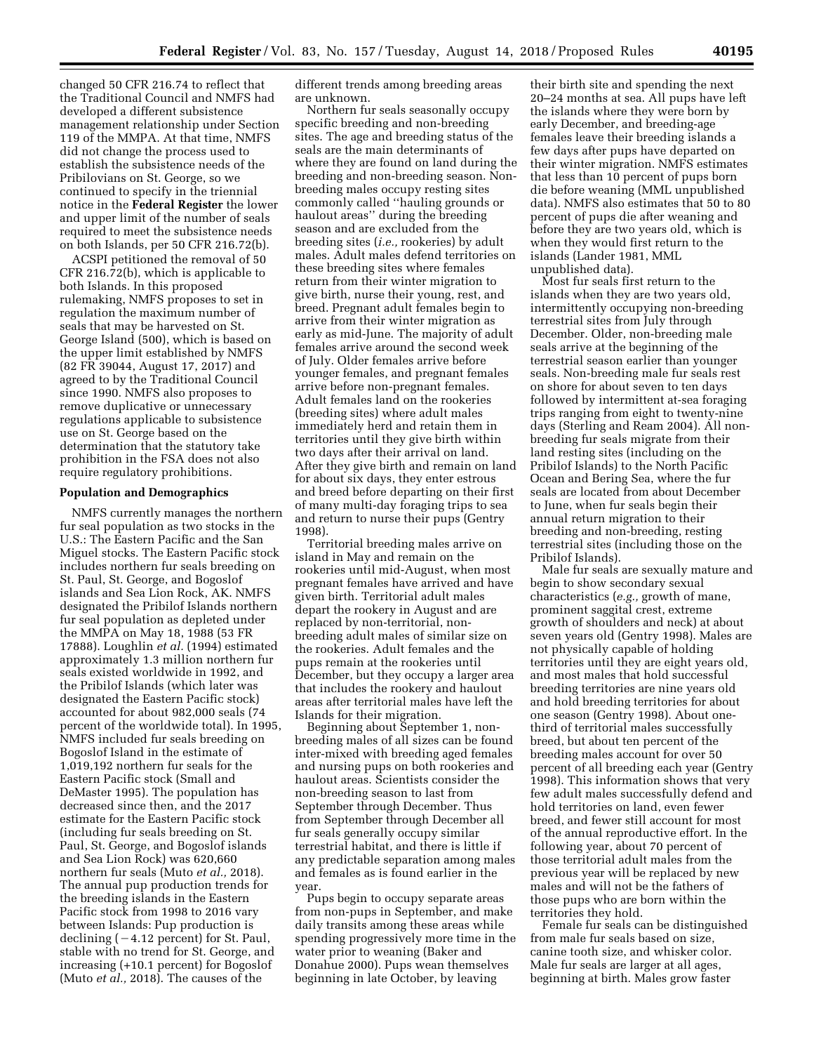changed 50 CFR 216.74 to reflect that the Traditional Council and NMFS had developed a different subsistence management relationship under Section 119 of the MMPA. At that time, NMFS did not change the process used to establish the subsistence needs of the Pribilovians on St. George, so we continued to specify in the triennial notice in the **Federal Register** the lower and upper limit of the number of seals required to meet the subsistence needs on both Islands, per 50 CFR 216.72(b).

ACSPI petitioned the removal of 50 CFR 216.72(b), which is applicable to both Islands. In this proposed rulemaking, NMFS proposes to set in regulation the maximum number of seals that may be harvested on St. George Island (500), which is based on the upper limit established by NMFS (82 FR 39044, August 17, 2017) and agreed to by the Traditional Council since 1990. NMFS also proposes to remove duplicative or unnecessary regulations applicable to subsistence use on St. George based on the determination that the statutory take prohibition in the FSA does not also require regulatory prohibitions.

#### **Population and Demographics**

NMFS currently manages the northern fur seal population as two stocks in the U.S.: The Eastern Pacific and the San Miguel stocks. The Eastern Pacific stock includes northern fur seals breeding on St. Paul, St. George, and Bogoslof islands and Sea Lion Rock, AK. NMFS designated the Pribilof Islands northern fur seal population as depleted under the MMPA on May 18, 1988 (53 FR 17888). Loughlin *et al.* (1994) estimated approximately 1.3 million northern fur seals existed worldwide in 1992, and the Pribilof Islands (which later was designated the Eastern Pacific stock) accounted for about 982,000 seals (74 percent of the worldwide total). In 1995, NMFS included fur seals breeding on Bogoslof Island in the estimate of 1,019,192 northern fur seals for the Eastern Pacific stock (Small and DeMaster 1995). The population has decreased since then, and the 2017 estimate for the Eastern Pacific stock (including fur seals breeding on St. Paul, St. George, and Bogoslof islands and Sea Lion Rock) was 620,660 northern fur seals (Muto *et al.,* 2018). The annual pup production trends for the breeding islands in the Eastern Pacific stock from 1998 to 2016 vary between Islands: Pup production is declining  $(-4.12$  percent) for St. Paul, stable with no trend for St. George, and increasing (+10.1 percent) for Bogoslof (Muto *et al.,* 2018). The causes of the

different trends among breeding areas are unknown.

Northern fur seals seasonally occupy specific breeding and non-breeding sites. The age and breeding status of the seals are the main determinants of where they are found on land during the breeding and non-breeding season. Nonbreeding males occupy resting sites commonly called ''hauling grounds or haulout areas'' during the breeding season and are excluded from the breeding sites (*i.e.,* rookeries) by adult males. Adult males defend territories on these breeding sites where females return from their winter migration to give birth, nurse their young, rest, and breed. Pregnant adult females begin to arrive from their winter migration as early as mid-June. The majority of adult females arrive around the second week of July. Older females arrive before younger females, and pregnant females arrive before non-pregnant females. Adult females land on the rookeries (breeding sites) where adult males immediately herd and retain them in territories until they give birth within two days after their arrival on land. After they give birth and remain on land for about six days, they enter estrous and breed before departing on their first of many multi-day foraging trips to sea and return to nurse their pups (Gentry 1998).

Territorial breeding males arrive on island in May and remain on the rookeries until mid-August, when most pregnant females have arrived and have given birth. Territorial adult males depart the rookery in August and are replaced by non-territorial, nonbreeding adult males of similar size on the rookeries. Adult females and the pups remain at the rookeries until December, but they occupy a larger area that includes the rookery and haulout areas after territorial males have left the Islands for their migration.

Beginning about September 1, nonbreeding males of all sizes can be found inter-mixed with breeding aged females and nursing pups on both rookeries and haulout areas. Scientists consider the non-breeding season to last from September through December. Thus from September through December all fur seals generally occupy similar terrestrial habitat, and there is little if any predictable separation among males and females as is found earlier in the year.

Pups begin to occupy separate areas from non-pups in September, and make daily transits among these areas while spending progressively more time in the water prior to weaning (Baker and Donahue 2000). Pups wean themselves beginning in late October, by leaving

their birth site and spending the next 20–24 months at sea. All pups have left the islands where they were born by early December, and breeding-age females leave their breeding islands a few days after pups have departed on their winter migration. NMFS estimates that less than 10 percent of pups born die before weaning (MML unpublished data). NMFS also estimates that 50 to 80 percent of pups die after weaning and before they are two years old, which is when they would first return to the islands (Lander 1981, MML unpublished data).

Most fur seals first return to the islands when they are two years old, intermittently occupying non-breeding terrestrial sites from July through December. Older, non-breeding male seals arrive at the beginning of the terrestrial season earlier than younger seals. Non-breeding male fur seals rest on shore for about seven to ten days followed by intermittent at-sea foraging trips ranging from eight to twenty-nine days (Sterling and Ream 2004). All nonbreeding fur seals migrate from their land resting sites (including on the Pribilof Islands) to the North Pacific Ocean and Bering Sea, where the fur seals are located from about December to June, when fur seals begin their annual return migration to their breeding and non-breeding, resting terrestrial sites (including those on the Pribilof Islands).

Male fur seals are sexually mature and begin to show secondary sexual characteristics (*e.g.,* growth of mane, prominent saggital crest, extreme growth of shoulders and neck) at about seven years old (Gentry 1998). Males are not physically capable of holding territories until they are eight years old, and most males that hold successful breeding territories are nine years old and hold breeding territories for about one season (Gentry 1998). About onethird of territorial males successfully breed, but about ten percent of the breeding males account for over 50 percent of all breeding each year (Gentry 1998). This information shows that very few adult males successfully defend and hold territories on land, even fewer breed, and fewer still account for most of the annual reproductive effort. In the following year, about 70 percent of those territorial adult males from the previous year will be replaced by new males and will not be the fathers of those pups who are born within the territories they hold.

Female fur seals can be distinguished from male fur seals based on size, canine tooth size, and whisker color. Male fur seals are larger at all ages, beginning at birth. Males grow faster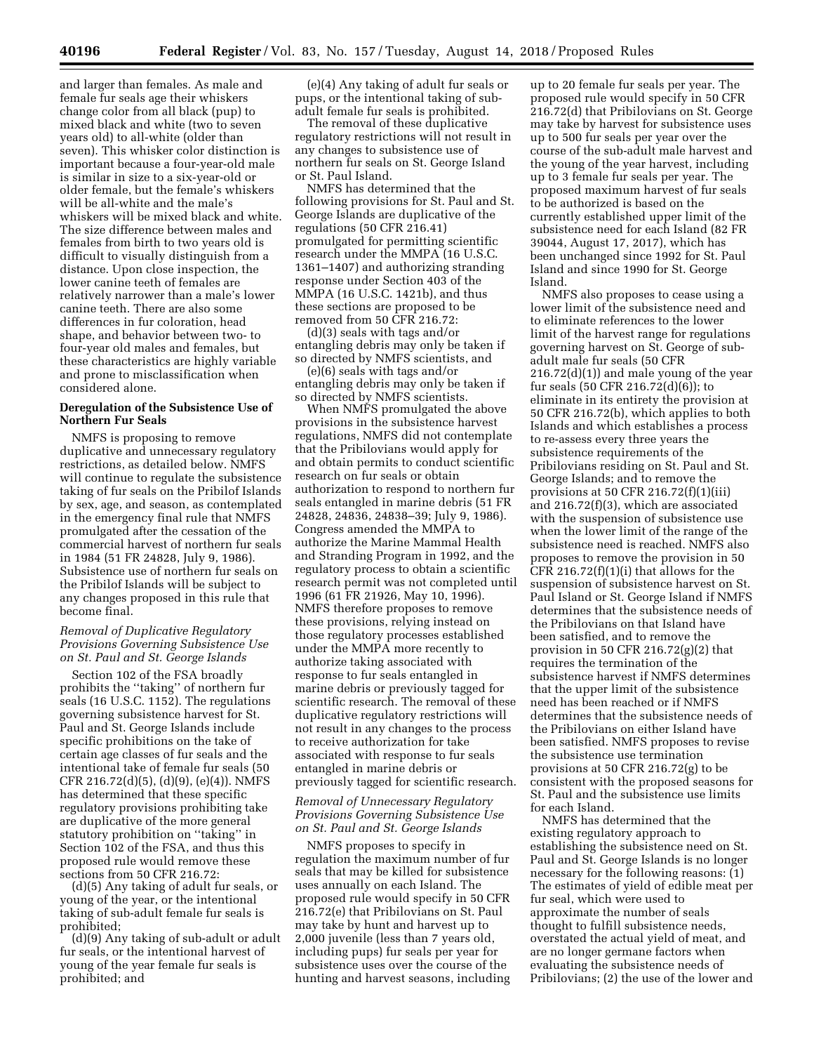and larger than females. As male and female fur seals age their whiskers change color from all black (pup) to mixed black and white (two to seven years old) to all-white (older than seven). This whisker color distinction is important because a four-year-old male is similar in size to a six-year-old or older female, but the female's whiskers will be all-white and the male's whiskers will be mixed black and white. The size difference between males and females from birth to two years old is difficult to visually distinguish from a distance. Upon close inspection, the lower canine teeth of females are relatively narrower than a male's lower canine teeth. There are also some differences in fur coloration, head shape, and behavior between two- to four-year old males and females, but these characteristics are highly variable and prone to misclassification when considered alone.

## **Deregulation of the Subsistence Use of Northern Fur Seals**

NMFS is proposing to remove duplicative and unnecessary regulatory restrictions, as detailed below. NMFS will continue to regulate the subsistence taking of fur seals on the Pribilof Islands by sex, age, and season, as contemplated in the emergency final rule that NMFS promulgated after the cessation of the commercial harvest of northern fur seals in 1984 (51 FR 24828, July 9, 1986). Subsistence use of northern fur seals on the Pribilof Islands will be subject to any changes proposed in this rule that become final.

## *Removal of Duplicative Regulatory Provisions Governing Subsistence Use on St. Paul and St. George Islands*

Section 102 of the FSA broadly prohibits the ''taking'' of northern fur seals (16 U.S.C. 1152). The regulations governing subsistence harvest for St. Paul and St. George Islands include specific prohibitions on the take of certain age classes of fur seals and the intentional take of female fur seals (50 CFR 216.72(d)(5), (d)(9), (e)(4)). NMFS has determined that these specific regulatory provisions prohibiting take are duplicative of the more general statutory prohibition on ''taking'' in Section 102 of the FSA, and thus this proposed rule would remove these sections from 50 CFR 216.72:

(d)(5) Any taking of adult fur seals, or young of the year, or the intentional taking of sub-adult female fur seals is prohibited;

(d)(9) Any taking of sub-adult or adult fur seals, or the intentional harvest of young of the year female fur seals is prohibited; and

(e)(4) Any taking of adult fur seals or pups, or the intentional taking of subadult female fur seals is prohibited.

The removal of these duplicative regulatory restrictions will not result in any changes to subsistence use of northern fur seals on St. George Island or St. Paul Island.

NMFS has determined that the following provisions for St. Paul and St. George Islands are duplicative of the regulations (50 CFR 216.41) promulgated for permitting scientific research under the MMPA (16 U.S.C. 1361–1407) and authorizing stranding response under Section 403 of the MMPA (16 U.S.C. 1421b), and thus these sections are proposed to be removed from 50 CFR 216.72:

(d)(3) seals with tags and/or entangling debris may only be taken if so directed by NMFS scientists, and

(e)(6) seals with tags and/or entangling debris may only be taken if so directed by NMFS scientists.

When NMFS promulgated the above provisions in the subsistence harvest regulations, NMFS did not contemplate that the Pribilovians would apply for and obtain permits to conduct scientific research on fur seals or obtain authorization to respond to northern fur seals entangled in marine debris (51 FR 24828, 24836, 24838–39; July 9, 1986). Congress amended the MMPA to authorize the Marine Mammal Health and Stranding Program in 1992, and the regulatory process to obtain a scientific research permit was not completed until 1996 (61 FR 21926, May 10, 1996). NMFS therefore proposes to remove these provisions, relying instead on those regulatory processes established under the MMPA more recently to authorize taking associated with response to fur seals entangled in marine debris or previously tagged for scientific research. The removal of these duplicative regulatory restrictions will not result in any changes to the process to receive authorization for take associated with response to fur seals entangled in marine debris or previously tagged for scientific research.

## *Removal of Unnecessary Regulatory Provisions Governing Subsistence Use on St. Paul and St. George Islands*

NMFS proposes to specify in regulation the maximum number of fur seals that may be killed for subsistence uses annually on each Island. The proposed rule would specify in 50 CFR 216.72(e) that Pribilovians on St. Paul may take by hunt and harvest up to 2,000 juvenile (less than 7 years old, including pups) fur seals per year for subsistence uses over the course of the hunting and harvest seasons, including up to 20 female fur seals per year. The proposed rule would specify in 50 CFR 216.72(d) that Pribilovians on St. George may take by harvest for subsistence uses up to 500 fur seals per year over the course of the sub-adult male harvest and the young of the year harvest, including up to 3 female fur seals per year. The proposed maximum harvest of fur seals to be authorized is based on the currently established upper limit of the subsistence need for each Island (82 FR 39044, August 17, 2017), which has been unchanged since 1992 for St. Paul Island and since 1990 for St. George Island.

NMFS also proposes to cease using a lower limit of the subsistence need and to eliminate references to the lower limit of the harvest range for regulations governing harvest on St. George of subadult male fur seals (50 CFR 216.72(d)(1)) and male young of the year fur seals (50 CFR 216.72(d)(6)); to eliminate in its entirety the provision at 50 CFR 216.72(b), which applies to both Islands and which establishes a process to re-assess every three years the subsistence requirements of the Pribilovians residing on St. Paul and St. George Islands; and to remove the provisions at 50 CFR 216.72(f)(1)(iii) and 216.72(f)(3), which are associated with the suspension of subsistence use when the lower limit of the range of the subsistence need is reached. NMFS also proposes to remove the provision in 50 CFR 216.72 $(f)(1)(i)$  that allows for the suspension of subsistence harvest on St. Paul Island or St. George Island if NMFS determines that the subsistence needs of the Pribilovians on that Island have been satisfied, and to remove the provision in 50 CFR 216.72(g)(2) that requires the termination of the subsistence harvest if NMFS determines that the upper limit of the subsistence need has been reached or if NMFS determines that the subsistence needs of the Pribilovians on either Island have been satisfied. NMFS proposes to revise the subsistence use termination provisions at 50 CFR 216.72(g) to be consistent with the proposed seasons for St. Paul and the subsistence use limits for each Island.

NMFS has determined that the existing regulatory approach to establishing the subsistence need on St. Paul and St. George Islands is no longer necessary for the following reasons: (1) The estimates of yield of edible meat per fur seal, which were used to approximate the number of seals thought to fulfill subsistence needs, overstated the actual yield of meat, and are no longer germane factors when evaluating the subsistence needs of Pribilovians; (2) the use of the lower and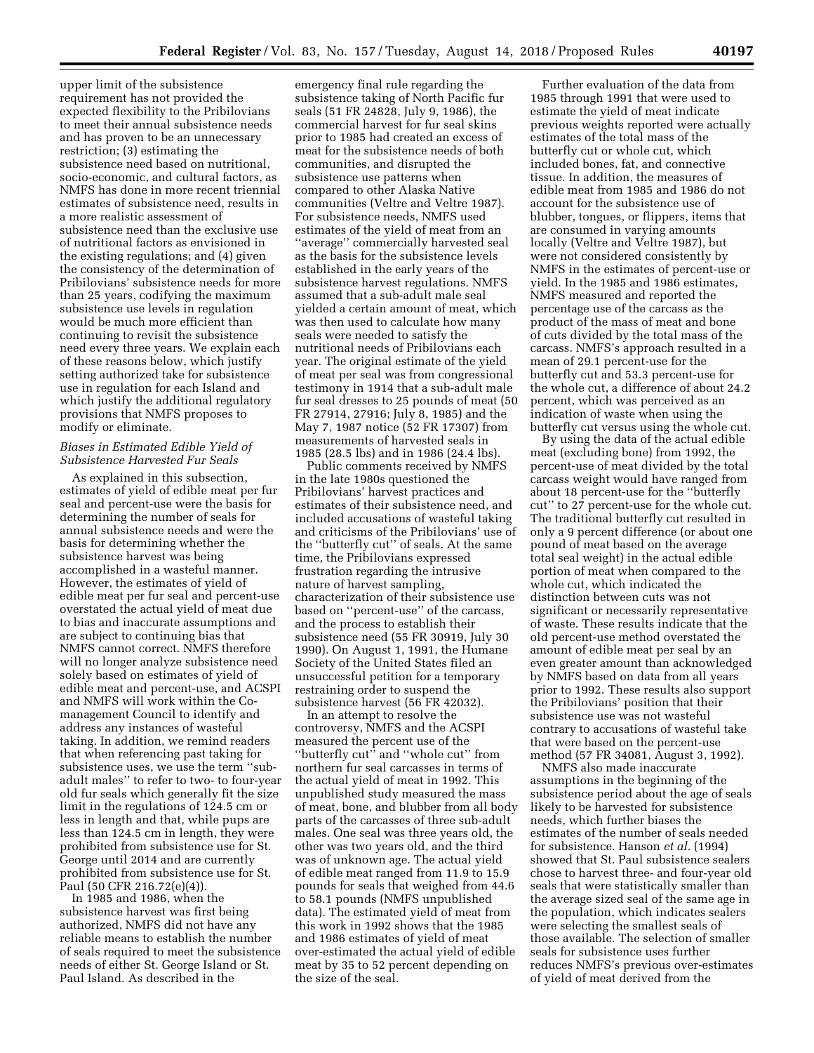upper limit of the subsistence requirement has not provided the expected flexibility to the Pribilovians to meet their annual subsistence needs and has proven to be an unnecessary restriction; (3) estimating the subsistence need based on nutritional, socio-economic, and cultural factors, as NMFS has done in more recent triennial estimates of subsistence need, results in a more realistic assessment of subsistence need than the exclusive use of nutritional factors as envisioned in the existing regulations; and (4) given the consistency of the determination of Pribilovians' subsistence needs for more than 25 years, codifying the maximum subsistence use levels in regulation would be much more efficient than continuing to revisit the subsistence need every three years. We explain each of these reasons below, which justify setting authorized take for subsistence use in regulation for each Island and which justify the additional regulatory provisions that NMFS proposes to modify or eliminate.

## *Biases in Estimated Edible Yield of Subsistence Harvested Fur Seals*

As explained in this subsection, estimates of yield of edible meat per fur seal and percent-use were the basis for determining the number of seals for annual subsistence needs and were the basis for determining whether the subsistence harvest was being accomplished in a wasteful manner. However, the estimates of yield of edible meat per fur seal and percent-use overstated the actual yield of meat due to bias and inaccurate assumptions and are subject to continuing bias that NMFS cannot correct. NMFS therefore will no longer analyze subsistence need solely based on estimates of yield of edible meat and percent-use, and ACSPI and NMFS will work within the Comanagement Council to identify and address any instances of wasteful taking. In addition, we remind readers that when referencing past taking for subsistence uses, we use the term ''subadult males'' to refer to two- to four-year old fur seals which generally fit the size limit in the regulations of 124.5 cm or less in length and that, while pups are less than 124.5 cm in length, they were prohibited from subsistence use for St. George until 2014 and are currently prohibited from subsistence use for St. Paul (50 CFR 216.72(e)(4)).

In 1985 and 1986, when the subsistence harvest was first being authorized, NMFS did not have any reliable means to establish the number of seals required to meet the subsistence needs of either St. George Island or St. Paul Island. As described in the

emergency final rule regarding the subsistence taking of North Pacific fur seals (51 FR 24828, July 9, 1986), the commercial harvest for fur seal skins prior to 1985 had created an excess of meat for the subsistence needs of both communities, and disrupted the subsistence use patterns when compared to other Alaska Native communities (Veltre and Veltre 1987). For subsistence needs, NMFS used estimates of the yield of meat from an ''average'' commercially harvested seal as the basis for the subsistence levels established in the early years of the subsistence harvest regulations. NMFS assumed that a sub-adult male seal yielded a certain amount of meat, which was then used to calculate how many seals were needed to satisfy the nutritional needs of Pribilovians each year. The original estimate of the yield of meat per seal was from congressional testimony in 1914 that a sub-adult male fur seal dresses to 25 pounds of meat (50 FR 27914, 27916; July 8, 1985) and the May 7, 1987 notice (52 FR 17307) from measurements of harvested seals in 1985 (28.5 lbs) and in 1986 (24.4 lbs).

Public comments received by NMFS in the late 1980s questioned the Pribilovians' harvest practices and estimates of their subsistence need, and included accusations of wasteful taking and criticisms of the Pribilovians' use of the ''butterfly cut'' of seals. At the same time, the Pribilovians expressed frustration regarding the intrusive nature of harvest sampling, characterization of their subsistence use based on ''percent-use'' of the carcass, and the process to establish their subsistence need (55 FR 30919, July 30 1990). On August 1, 1991, the Humane Society of the United States filed an unsuccessful petition for a temporary restraining order to suspend the subsistence harvest (56 FR 42032).

In an attempt to resolve the controversy, NMFS and the ACSPI measured the percent use of the ''butterfly cut'' and ''whole cut'' from northern fur seal carcasses in terms of the actual yield of meat in 1992. This unpublished study measured the mass of meat, bone, and blubber from all body parts of the carcasses of three sub-adult males. One seal was three years old, the other was two years old, and the third was of unknown age. The actual yield of edible meat ranged from 11.9 to 15.9 pounds for seals that weighed from 44.6 to 58.1 pounds (NMFS unpublished data). The estimated yield of meat from this work in 1992 shows that the 1985 and 1986 estimates of yield of meat over-estimated the actual yield of edible meat by 35 to 52 percent depending on the size of the seal.

Further evaluation of the data from 1985 through 1991 that were used to estimate the yield of meat indicate previous weights reported were actually estimates of the total mass of the butterfly cut or whole cut, which included bones, fat, and connective tissue. In addition, the measures of edible meat from 1985 and 1986 do not account for the subsistence use of blubber, tongues, or flippers, items that are consumed in varying amounts locally (Veltre and Veltre 1987), but were not considered consistently by NMFS in the estimates of percent-use or yield. In the 1985 and 1986 estimates, NMFS measured and reported the percentage use of the carcass as the product of the mass of meat and bone of cuts divided by the total mass of the carcass. NMFS's approach resulted in a mean of 29.1 percent-use for the butterfly cut and 53.3 percent-use for the whole cut, a difference of about 24.2 percent, which was perceived as an indication of waste when using the butterfly cut versus using the whole cut.

By using the data of the actual edible meat (excluding bone) from 1992, the percent-use of meat divided by the total carcass weight would have ranged from about 18 percent-use for the ''butterfly cut'' to 27 percent-use for the whole cut. The traditional butterfly cut resulted in only a 9 percent difference (or about one pound of meat based on the average total seal weight) in the actual edible portion of meat when compared to the whole cut, which indicated the distinction between cuts was not significant or necessarily representative of waste. These results indicate that the old percent-use method overstated the amount of edible meat per seal by an even greater amount than acknowledged by NMFS based on data from all years prior to 1992. These results also support the Pribilovians' position that their subsistence use was not wasteful contrary to accusations of wasteful take that were based on the percent-use method (57 FR 34081, August 3, 1992).

NMFS also made inaccurate assumptions in the beginning of the subsistence period about the age of seals likely to be harvested for subsistence needs, which further biases the estimates of the number of seals needed for subsistence. Hanson *et al.* (1994) showed that St. Paul subsistence sealers chose to harvest three- and four-year old seals that were statistically smaller than the average sized seal of the same age in the population, which indicates sealers were selecting the smallest seals of those available. The selection of smaller seals for subsistence uses further reduces NMFS's previous over-estimates of yield of meat derived from the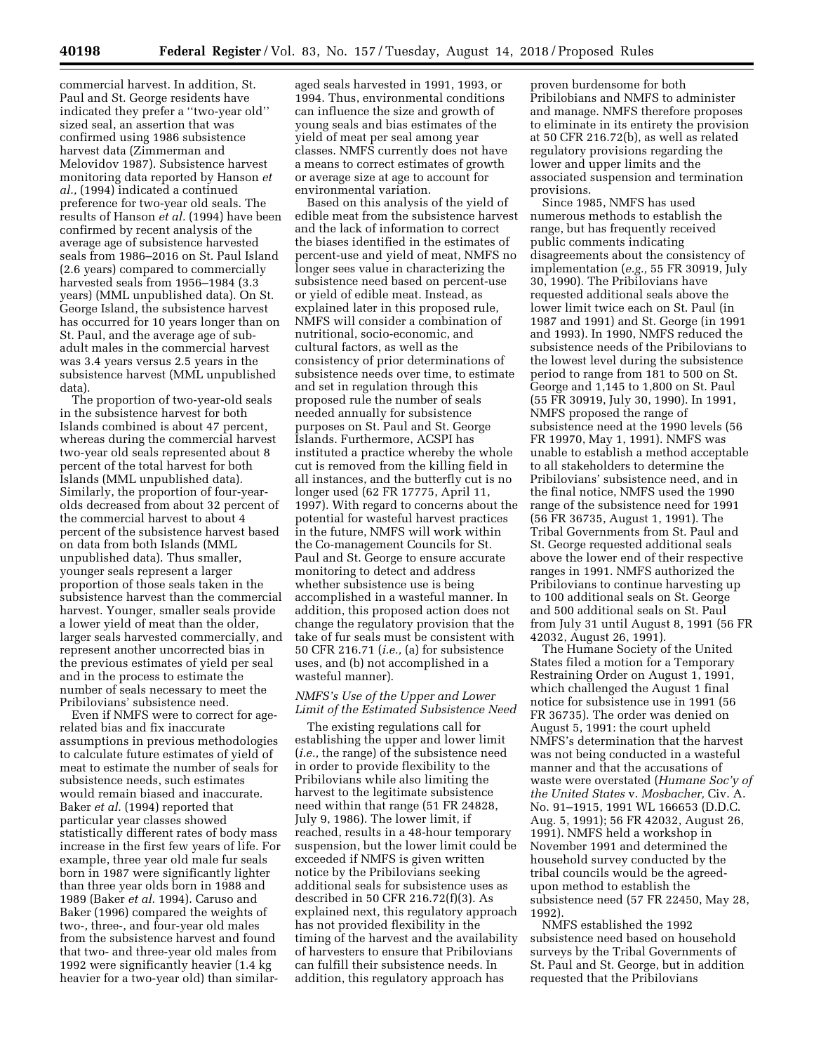commercial harvest. In addition, St. Paul and St. George residents have indicated they prefer a ''two-year old'' sized seal, an assertion that was confirmed using 1986 subsistence harvest data (Zimmerman and Melovidov 1987). Subsistence harvest monitoring data reported by Hanson *et al.,* (1994) indicated a continued preference for two-year old seals. The results of Hanson *et al.* (1994) have been confirmed by recent analysis of the average age of subsistence harvested seals from 1986–2016 on St. Paul Island (2.6 years) compared to commercially harvested seals from 1956–1984 (3.3 years) (MML unpublished data). On St. George Island, the subsistence harvest has occurred for 10 years longer than on St. Paul, and the average age of subadult males in the commercial harvest was 3.4 years versus 2.5 years in the subsistence harvest (MML unpublished data).

The proportion of two-year-old seals in the subsistence harvest for both Islands combined is about 47 percent, whereas during the commercial harvest two-year old seals represented about 8 percent of the total harvest for both Islands (MML unpublished data). Similarly, the proportion of four-yearolds decreased from about 32 percent of the commercial harvest to about 4 percent of the subsistence harvest based on data from both Islands (MML unpublished data). Thus smaller, younger seals represent a larger proportion of those seals taken in the subsistence harvest than the commercial harvest. Younger, smaller seals provide a lower yield of meat than the older, larger seals harvested commercially, and represent another uncorrected bias in the previous estimates of yield per seal and in the process to estimate the number of seals necessary to meet the Pribilovians' subsistence need.

Even if NMFS were to correct for agerelated bias and fix inaccurate assumptions in previous methodologies to calculate future estimates of yield of meat to estimate the number of seals for subsistence needs, such estimates would remain biased and inaccurate. Baker *et al.* (1994) reported that particular year classes showed statistically different rates of body mass increase in the first few years of life. For example, three year old male fur seals born in 1987 were significantly lighter than three year olds born in 1988 and 1989 (Baker *et al.* 1994). Caruso and Baker (1996) compared the weights of two-, three-, and four-year old males from the subsistence harvest and found that two- and three-year old males from 1992 were significantly heavier (1.4 kg heavier for a two-year old) than similaraged seals harvested in 1991, 1993, or 1994. Thus, environmental conditions can influence the size and growth of young seals and bias estimates of the yield of meat per seal among year classes. NMFS currently does not have a means to correct estimates of growth or average size at age to account for environmental variation.

Based on this analysis of the yield of edible meat from the subsistence harvest and the lack of information to correct the biases identified in the estimates of percent-use and yield of meat, NMFS no longer sees value in characterizing the subsistence need based on percent-use or yield of edible meat. Instead, as explained later in this proposed rule, NMFS will consider a combination of nutritional, socio-economic, and cultural factors, as well as the consistency of prior determinations of subsistence needs over time, to estimate and set in regulation through this proposed rule the number of seals needed annually for subsistence purposes on St. Paul and St. George Islands. Furthermore, ACSPI has instituted a practice whereby the whole cut is removed from the killing field in all instances, and the butterfly cut is no longer used (62 FR 17775, April 11, 1997). With regard to concerns about the potential for wasteful harvest practices in the future, NMFS will work within the Co-management Councils for St. Paul and St. George to ensure accurate monitoring to detect and address whether subsistence use is being accomplished in a wasteful manner. In addition, this proposed action does not change the regulatory provision that the take of fur seals must be consistent with 50 CFR 216.71 (*i.e.,* (a) for subsistence uses, and (b) not accomplished in a wasteful manner).

### *NMFS's Use of the Upper and Lower Limit of the Estimated Subsistence Need*

The existing regulations call for establishing the upper and lower limit (*i.e.,* the range) of the subsistence need in order to provide flexibility to the Pribilovians while also limiting the harvest to the legitimate subsistence need within that range (51 FR 24828, July 9, 1986). The lower limit, if reached, results in a 48-hour temporary suspension, but the lower limit could be exceeded if NMFS is given written notice by the Pribilovians seeking additional seals for subsistence uses as described in 50 CFR 216.72(f)(3). As explained next, this regulatory approach has not provided flexibility in the timing of the harvest and the availability of harvesters to ensure that Pribilovians can fulfill their subsistence needs. In addition, this regulatory approach has

proven burdensome for both Pribilobians and NMFS to administer and manage. NMFS therefore proposes to eliminate in its entirety the provision at 50 CFR 216.72(b), as well as related regulatory provisions regarding the lower and upper limits and the associated suspension and termination provisions.

Since 1985, NMFS has used numerous methods to establish the range, but has frequently received public comments indicating disagreements about the consistency of implementation (*e.g.,* 55 FR 30919, July 30, 1990). The Pribilovians have requested additional seals above the lower limit twice each on St. Paul (in 1987 and 1991) and St. George (in 1991 and 1993). In 1990, NMFS reduced the subsistence needs of the Pribilovians to the lowest level during the subsistence period to range from 181 to 500 on St. George and 1,145 to 1,800 on St. Paul (55 FR 30919, July 30, 1990). In 1991, NMFS proposed the range of subsistence need at the 1990 levels (56 FR 19970, May 1, 1991). NMFS was unable to establish a method acceptable to all stakeholders to determine the Pribilovians' subsistence need, and in the final notice, NMFS used the 1990 range of the subsistence need for 1991 (56 FR 36735, August 1, 1991). The Tribal Governments from St. Paul and St. George requested additional seals above the lower end of their respective ranges in 1991. NMFS authorized the Pribilovians to continue harvesting up to 100 additional seals on St. George and 500 additional seals on St. Paul from July 31 until August 8, 1991 (56 FR 42032, August 26, 1991).

The Humane Society of the United States filed a motion for a Temporary Restraining Order on August 1, 1991, which challenged the August 1 final notice for subsistence use in 1991 (56 FR 36735). The order was denied on August 5, 1991: the court upheld NMFS's determination that the harvest was not being conducted in a wasteful manner and that the accusations of waste were overstated (*Humane Soc'y of the United States* v. *Mosbacher,* Civ. A. No. 91–1915, 1991 WL 166653 (D.D.C. Aug. 5, 1991); 56 FR 42032, August 26, 1991). NMFS held a workshop in November 1991 and determined the household survey conducted by the tribal councils would be the agreedupon method to establish the subsistence need (57 FR 22450, May 28, 1992).

NMFS established the 1992 subsistence need based on household surveys by the Tribal Governments of St. Paul and St. George, but in addition requested that the Pribilovians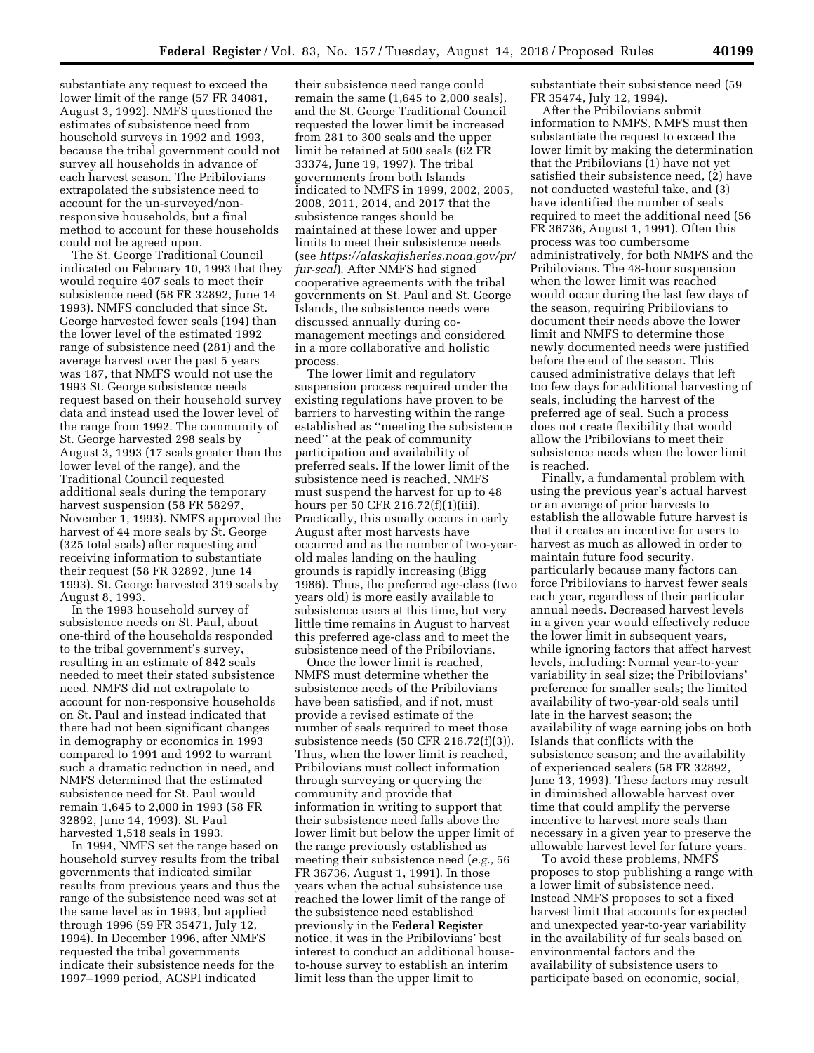substantiate any request to exceed the lower limit of the range (57 FR 34081, August 3, 1992). NMFS questioned the estimates of subsistence need from household surveys in 1992 and 1993, because the tribal government could not survey all households in advance of each harvest season. The Pribilovians extrapolated the subsistence need to account for the un-surveyed/nonresponsive households, but a final method to account for these households could not be agreed upon.

The St. George Traditional Council indicated on February 10, 1993 that they would require 407 seals to meet their subsistence need (58 FR 32892, June 14 1993). NMFS concluded that since St. George harvested fewer seals (194) than the lower level of the estimated 1992 range of subsistence need (281) and the average harvest over the past 5 years was 187, that NMFS would not use the 1993 St. George subsistence needs request based on their household survey data and instead used the lower level of the range from 1992. The community of St. George harvested 298 seals by August 3, 1993 (17 seals greater than the lower level of the range), and the Traditional Council requested additional seals during the temporary harvest suspension (58 FR 58297, November 1, 1993). NMFS approved the harvest of 44 more seals by St. George (325 total seals) after requesting and receiving information to substantiate their request (58 FR 32892, June 14 1993). St. George harvested 319 seals by August 8, 1993.

In the 1993 household survey of subsistence needs on St. Paul, about one-third of the households responded to the tribal government's survey, resulting in an estimate of 842 seals needed to meet their stated subsistence need. NMFS did not extrapolate to account for non-responsive households on St. Paul and instead indicated that there had not been significant changes in demography or economics in 1993 compared to 1991 and 1992 to warrant such a dramatic reduction in need, and NMFS determined that the estimated subsistence need for St. Paul would remain 1,645 to 2,000 in 1993 (58 FR 32892, June 14, 1993). St. Paul harvested 1,518 seals in 1993.

In 1994, NMFS set the range based on household survey results from the tribal governments that indicated similar results from previous years and thus the range of the subsistence need was set at the same level as in 1993, but applied through 1996 (59 FR 35471, July 12, 1994). In December 1996, after NMFS requested the tribal governments indicate their subsistence needs for the 1997–1999 period, ACSPI indicated

their subsistence need range could remain the same (1,645 to 2,000 seals), and the St. George Traditional Council requested the lower limit be increased from 281 to 300 seals and the upper limit be retained at 500 seals (62 FR 33374, June 19, 1997). The tribal governments from both Islands indicated to NMFS in 1999, 2002, 2005, 2008, 2011, 2014, and 2017 that the subsistence ranges should be maintained at these lower and upper limits to meet their subsistence needs (see *[https://alaskafisheries.noaa.gov/pr/](https://alaskafisheries.noaa.gov/pr/fur-seal) [fur-seal](https://alaskafisheries.noaa.gov/pr/fur-seal)*). After NMFS had signed cooperative agreements with the tribal governments on St. Paul and St. George Islands, the subsistence needs were discussed annually during comanagement meetings and considered in a more collaborative and holistic process.

The lower limit and regulatory suspension process required under the existing regulations have proven to be barriers to harvesting within the range established as ''meeting the subsistence need'' at the peak of community participation and availability of preferred seals. If the lower limit of the subsistence need is reached, NMFS must suspend the harvest for up to 48 hours per 50 CFR 216.72(f)(1)(iii). Practically, this usually occurs in early August after most harvests have occurred and as the number of two-yearold males landing on the hauling grounds is rapidly increasing (Bigg 1986). Thus, the preferred age-class (two years old) is more easily available to subsistence users at this time, but very little time remains in August to harvest this preferred age-class and to meet the subsistence need of the Pribilovians.

Once the lower limit is reached, NMFS must determine whether the subsistence needs of the Pribilovians have been satisfied, and if not, must provide a revised estimate of the number of seals required to meet those subsistence needs (50 CFR 216.72(f)(3)). Thus, when the lower limit is reached, Pribilovians must collect information through surveying or querying the community and provide that information in writing to support that their subsistence need falls above the lower limit but below the upper limit of the range previously established as meeting their subsistence need (*e.g.,* 56 FR 36736, August 1, 1991). In those years when the actual subsistence use reached the lower limit of the range of the subsistence need established previously in the **Federal Register**  notice, it was in the Pribilovians' best interest to conduct an additional houseto-house survey to establish an interim limit less than the upper limit to

substantiate their subsistence need (59 FR 35474, July 12, 1994).

After the Pribilovians submit information to NMFS, NMFS must then substantiate the request to exceed the lower limit by making the determination that the Pribilovians (1) have not yet satisfied their subsistence need, (2) have not conducted wasteful take, and (3) have identified the number of seals required to meet the additional need (56 FR 36736, August 1, 1991). Often this process was too cumbersome administratively, for both NMFS and the Pribilovians. The 48-hour suspension when the lower limit was reached would occur during the last few days of the season, requiring Pribilovians to document their needs above the lower limit and NMFS to determine those newly documented needs were justified before the end of the season. This caused administrative delays that left too few days for additional harvesting of seals, including the harvest of the preferred age of seal. Such a process does not create flexibility that would allow the Pribilovians to meet their subsistence needs when the lower limit is reached.

Finally, a fundamental problem with using the previous year's actual harvest or an average of prior harvests to establish the allowable future harvest is that it creates an incentive for users to harvest as much as allowed in order to maintain future food security, particularly because many factors can force Pribilovians to harvest fewer seals each year, regardless of their particular annual needs. Decreased harvest levels in a given year would effectively reduce the lower limit in subsequent years, while ignoring factors that affect harvest levels, including: Normal year-to-year variability in seal size; the Pribilovians' preference for smaller seals; the limited availability of two-year-old seals until late in the harvest season; the availability of wage earning jobs on both Islands that conflicts with the subsistence season; and the availability of experienced sealers (58 FR 32892, June 13, 1993). These factors may result in diminished allowable harvest over time that could amplify the perverse incentive to harvest more seals than necessary in a given year to preserve the allowable harvest level for future years.

To avoid these problems, NMFS proposes to stop publishing a range with a lower limit of subsistence need. Instead NMFS proposes to set a fixed harvest limit that accounts for expected and unexpected year-to-year variability in the availability of fur seals based on environmental factors and the availability of subsistence users to participate based on economic, social,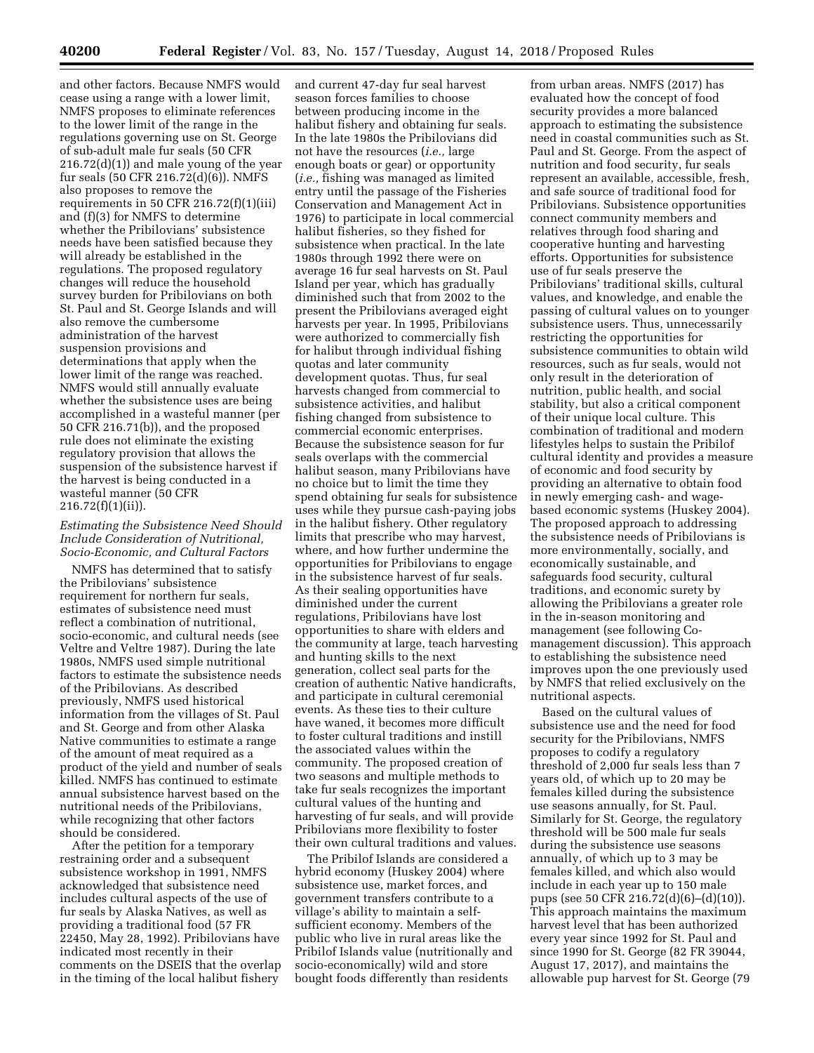and other factors. Because NMFS would cease using a range with a lower limit, NMFS proposes to eliminate references to the lower limit of the range in the regulations governing use on St. George of sub-adult male fur seals (50 CFR  $216.72(d)(1)$  and male young of the year fur seals (50 CFR 216.72(d)(6)). NMFS also proposes to remove the requirements in 50 CFR 216.72 $(f)(1)(iii)$ and (f)(3) for NMFS to determine whether the Pribilovians' subsistence needs have been satisfied because they will already be established in the regulations. The proposed regulatory changes will reduce the household survey burden for Pribilovians on both St. Paul and St. George Islands and will also remove the cumbersome administration of the harvest suspension provisions and determinations that apply when the lower limit of the range was reached. NMFS would still annually evaluate whether the subsistence uses are being accomplished in a wasteful manner (per 50 CFR 216.71(b)), and the proposed rule does not eliminate the existing regulatory provision that allows the suspension of the subsistence harvest if the harvest is being conducted in a wasteful manner (50 CFR 216.72(f)(1)(ii)).

## *Estimating the Subsistence Need Should Include Consideration of Nutritional, Socio-Economic, and Cultural Factors*

NMFS has determined that to satisfy the Pribilovians' subsistence requirement for northern fur seals, estimates of subsistence need must reflect a combination of nutritional, socio-economic, and cultural needs (see Veltre and Veltre 1987). During the late 1980s, NMFS used simple nutritional factors to estimate the subsistence needs of the Pribilovians. As described previously, NMFS used historical information from the villages of St. Paul and St. George and from other Alaska Native communities to estimate a range of the amount of meat required as a product of the yield and number of seals killed. NMFS has continued to estimate annual subsistence harvest based on the nutritional needs of the Pribilovians, while recognizing that other factors should be considered.

After the petition for a temporary restraining order and a subsequent subsistence workshop in 1991, NMFS acknowledged that subsistence need includes cultural aspects of the use of fur seals by Alaska Natives, as well as providing a traditional food (57 FR 22450, May 28, 1992). Pribilovians have indicated most recently in their comments on the DSEIS that the overlap in the timing of the local halibut fishery

and current 47-day fur seal harvest season forces families to choose between producing income in the halibut fishery and obtaining fur seals. In the late 1980s the Pribilovians did not have the resources (*i.e.,* large enough boats or gear) or opportunity (*i.e.,* fishing was managed as limited entry until the passage of the Fisheries Conservation and Management Act in 1976) to participate in local commercial halibut fisheries, so they fished for subsistence when practical. In the late 1980s through 1992 there were on average 16 fur seal harvests on St. Paul Island per year, which has gradually diminished such that from 2002 to the present the Pribilovians averaged eight harvests per year. In 1995, Pribilovians were authorized to commercially fish for halibut through individual fishing quotas and later community development quotas. Thus, fur seal harvests changed from commercial to subsistence activities, and halibut fishing changed from subsistence to commercial economic enterprises. Because the subsistence season for fur seals overlaps with the commercial halibut season, many Pribilovians have no choice but to limit the time they spend obtaining fur seals for subsistence uses while they pursue cash-paying jobs in the halibut fishery. Other regulatory limits that prescribe who may harvest, where, and how further undermine the opportunities for Pribilovians to engage in the subsistence harvest of fur seals. As their sealing opportunities have diminished under the current regulations, Pribilovians have lost opportunities to share with elders and the community at large, teach harvesting and hunting skills to the next generation, collect seal parts for the creation of authentic Native handicrafts, and participate in cultural ceremonial events. As these ties to their culture have waned, it becomes more difficult to foster cultural traditions and instill the associated values within the community. The proposed creation of two seasons and multiple methods to take fur seals recognizes the important cultural values of the hunting and harvesting of fur seals, and will provide Pribilovians more flexibility to foster their own cultural traditions and values.

The Pribilof Islands are considered a hybrid economy (Huskey 2004) where subsistence use, market forces, and government transfers contribute to a village's ability to maintain a selfsufficient economy. Members of the public who live in rural areas like the Pribilof Islands value (nutritionally and socio-economically) wild and store bought foods differently than residents

from urban areas. NMFS (2017) has evaluated how the concept of food security provides a more balanced approach to estimating the subsistence need in coastal communities such as St. Paul and St. George. From the aspect of nutrition and food security, fur seals represent an available, accessible, fresh, and safe source of traditional food for Pribilovians. Subsistence opportunities connect community members and relatives through food sharing and cooperative hunting and harvesting efforts. Opportunities for subsistence use of fur seals preserve the Pribilovians' traditional skills, cultural values, and knowledge, and enable the passing of cultural values on to younger subsistence users. Thus, unnecessarily restricting the opportunities for subsistence communities to obtain wild resources, such as fur seals, would not only result in the deterioration of nutrition, public health, and social stability, but also a critical component of their unique local culture. This combination of traditional and modern lifestyles helps to sustain the Pribilof cultural identity and provides a measure of economic and food security by providing an alternative to obtain food in newly emerging cash- and wagebased economic systems (Huskey 2004). The proposed approach to addressing the subsistence needs of Pribilovians is more environmentally, socially, and economically sustainable, and safeguards food security, cultural traditions, and economic surety by allowing the Pribilovians a greater role in the in-season monitoring and management (see following Comanagement discussion). This approach to establishing the subsistence need improves upon the one previously used by NMFS that relied exclusively on the nutritional aspects.

Based on the cultural values of subsistence use and the need for food security for the Pribilovians, NMFS proposes to codify a regulatory threshold of 2,000 fur seals less than 7 years old, of which up to 20 may be females killed during the subsistence use seasons annually, for St. Paul. Similarly for St. George, the regulatory threshold will be 500 male fur seals during the subsistence use seasons annually, of which up to 3 may be females killed, and which also would include in each year up to 150 male pups (see 50 CFR 216.72(d)(6)–(d)(10)). This approach maintains the maximum harvest level that has been authorized every year since 1992 for St. Paul and since 1990 for St. George (82 FR 39044, August 17, 2017), and maintains the allowable pup harvest for St. George (79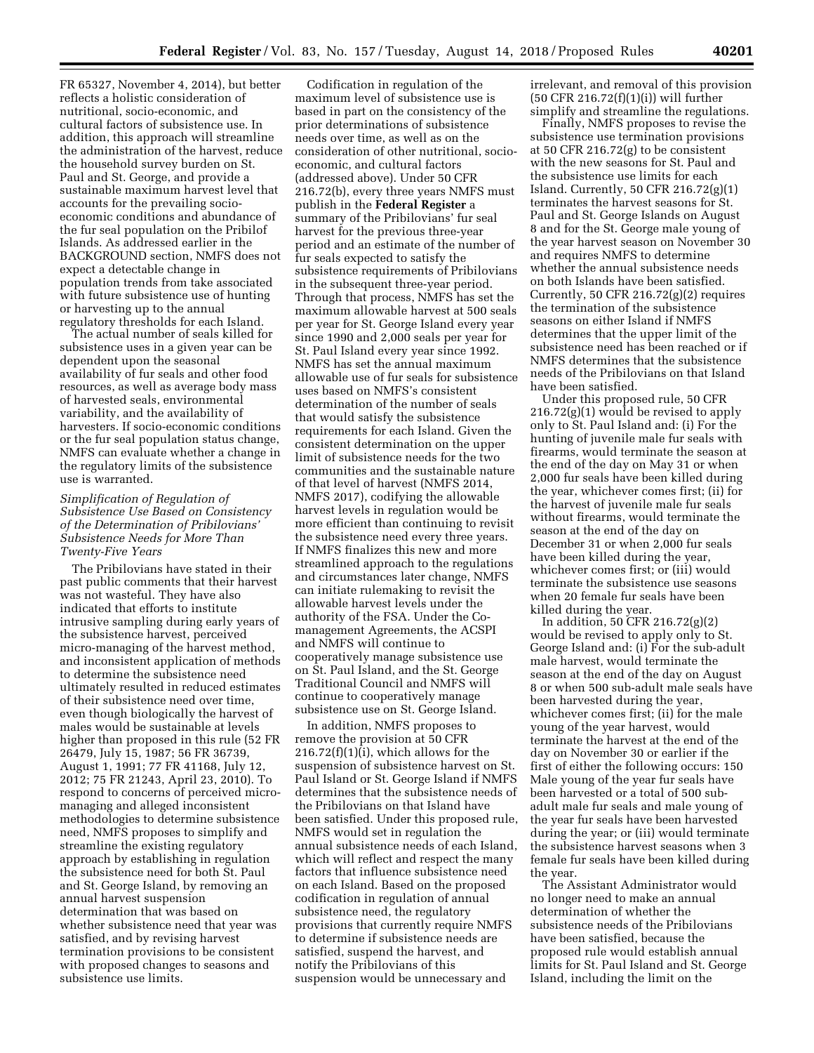FR 65327, November 4, 2014), but better reflects a holistic consideration of nutritional, socio-economic, and cultural factors of subsistence use. In addition, this approach will streamline the administration of the harvest, reduce the household survey burden on St. Paul and St. George, and provide a sustainable maximum harvest level that accounts for the prevailing socioeconomic conditions and abundance of the fur seal population on the Pribilof Islands. As addressed earlier in the BACKGROUND section, NMFS does not expect a detectable change in population trends from take associated with future subsistence use of hunting or harvesting up to the annual regulatory thresholds for each Island.

The actual number of seals killed for subsistence uses in a given year can be dependent upon the seasonal availability of fur seals and other food resources, as well as average body mass of harvested seals, environmental variability, and the availability of harvesters. If socio-economic conditions or the fur seal population status change, NMFS can evaluate whether a change in the regulatory limits of the subsistence use is warranted.

## *Simplification of Regulation of Subsistence Use Based on Consistency of the Determination of Pribilovians' Subsistence Needs for More Than Twenty-Five Years*

The Pribilovians have stated in their past public comments that their harvest was not wasteful. They have also indicated that efforts to institute intrusive sampling during early years of the subsistence harvest, perceived micro-managing of the harvest method, and inconsistent application of methods to determine the subsistence need ultimately resulted in reduced estimates of their subsistence need over time, even though biologically the harvest of males would be sustainable at levels higher than proposed in this rule (52 FR 26479, July 15, 1987; 56 FR 36739, August 1, 1991; 77 FR 41168, July 12, 2012; 75 FR 21243, April 23, 2010). To respond to concerns of perceived micromanaging and alleged inconsistent methodologies to determine subsistence need, NMFS proposes to simplify and streamline the existing regulatory approach by establishing in regulation the subsistence need for both St. Paul and St. George Island, by removing an annual harvest suspension determination that was based on whether subsistence need that year was satisfied, and by revising harvest termination provisions to be consistent with proposed changes to seasons and subsistence use limits.

Codification in regulation of the maximum level of subsistence use is based in part on the consistency of the prior determinations of subsistence needs over time, as well as on the consideration of other nutritional, socioeconomic, and cultural factors (addressed above). Under 50 CFR 216.72(b), every three years NMFS must publish in the **Federal Register** a summary of the Pribilovians' fur seal harvest for the previous three-year period and an estimate of the number of fur seals expected to satisfy the subsistence requirements of Pribilovians in the subsequent three-year period. Through that process, NMFS has set the maximum allowable harvest at 500 seals per year for St. George Island every year since 1990 and 2,000 seals per year for St. Paul Island every year since 1992. NMFS has set the annual maximum allowable use of fur seals for subsistence uses based on NMFS's consistent determination of the number of seals that would satisfy the subsistence requirements for each Island. Given the consistent determination on the upper limit of subsistence needs for the two communities and the sustainable nature of that level of harvest (NMFS 2014, NMFS 2017), codifying the allowable harvest levels in regulation would be more efficient than continuing to revisit the subsistence need every three years. If NMFS finalizes this new and more streamlined approach to the regulations and circumstances later change, NMFS can initiate rulemaking to revisit the allowable harvest levels under the authority of the FSA. Under the Comanagement Agreements, the ACSPI and NMFS will continue to cooperatively manage subsistence use on St. Paul Island, and the St. George Traditional Council and NMFS will continue to cooperatively manage subsistence use on St. George Island.

In addition, NMFS proposes to remove the provision at 50 CFR  $216.72(f)(1)(i)$ , which allows for the suspension of subsistence harvest on St. Paul Island or St. George Island if NMFS determines that the subsistence needs of the Pribilovians on that Island have been satisfied. Under this proposed rule, NMFS would set in regulation the annual subsistence needs of each Island, which will reflect and respect the many factors that influence subsistence need on each Island. Based on the proposed codification in regulation of annual subsistence need, the regulatory provisions that currently require NMFS to determine if subsistence needs are satisfied, suspend the harvest, and notify the Pribilovians of this suspension would be unnecessary and

irrelevant, and removal of this provision (50 CFR 216.72(f)(1)(i)) will further simplify and streamline the regulations.

Finally, NMFS proposes to revise the subsistence use termination provisions at 50 CFR 216.72(g) to be consistent with the new seasons for St. Paul and the subsistence use limits for each Island. Currently, 50 CFR 216.72(g)(1) terminates the harvest seasons for St. Paul and St. George Islands on August 8 and for the St. George male young of the year harvest season on November 30 and requires NMFS to determine whether the annual subsistence needs on both Islands have been satisfied. Currently, 50 CFR  $216.72(g)(2)$  requires the termination of the subsistence seasons on either Island if NMFS determines that the upper limit of the subsistence need has been reached or if NMFS determines that the subsistence needs of the Pribilovians on that Island have been satisfied.

Under this proposed rule, 50 CFR 216.72(g)(1) would be revised to apply only to St. Paul Island and: (i) For the hunting of juvenile male fur seals with firearms, would terminate the season at the end of the day on May 31 or when 2,000 fur seals have been killed during the year, whichever comes first; (ii) for the harvest of juvenile male fur seals without firearms, would terminate the season at the end of the day on December 31 or when 2,000 fur seals have been killed during the year, whichever comes first; or (iii) would terminate the subsistence use seasons when 20 female fur seals have been killed during the year.

In addition, 50 CFR 216.72(g)(2) would be revised to apply only to St. George Island and: (i) For the sub-adult male harvest, would terminate the season at the end of the day on August 8 or when 500 sub-adult male seals have been harvested during the year, whichever comes first; (ii) for the male young of the year harvest, would terminate the harvest at the end of the day on November 30 or earlier if the first of either the following occurs: 150 Male young of the year fur seals have been harvested or a total of 500 subadult male fur seals and male young of the year fur seals have been harvested during the year; or (iii) would terminate the subsistence harvest seasons when 3 female fur seals have been killed during the year.

The Assistant Administrator would no longer need to make an annual determination of whether the subsistence needs of the Pribilovians have been satisfied, because the proposed rule would establish annual limits for St. Paul Island and St. George Island, including the limit on the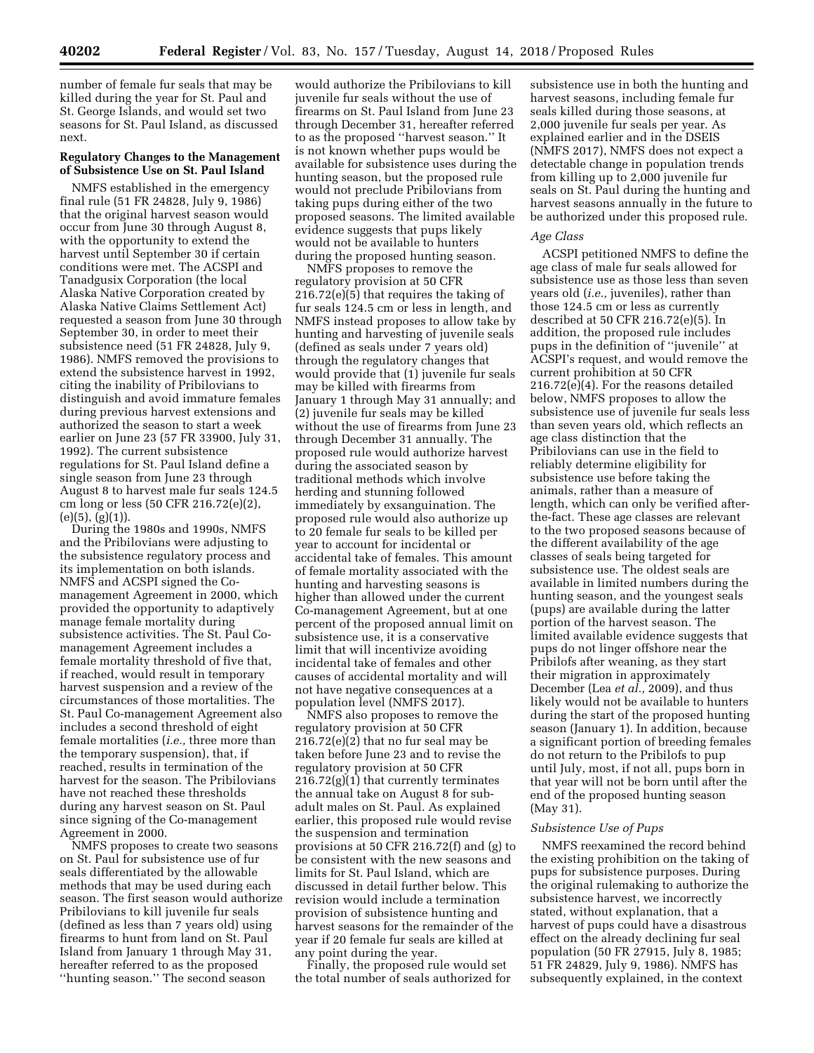number of female fur seals that may be killed during the year for St. Paul and St. George Islands, and would set two seasons for St. Paul Island, as discussed next.

### **Regulatory Changes to the Management of Subsistence Use on St. Paul Island**

NMFS established in the emergency final rule (51 FR 24828, July 9, 1986) that the original harvest season would occur from June 30 through August 8, with the opportunity to extend the harvest until September 30 if certain conditions were met. The ACSPI and Tanadgusix Corporation (the local Alaska Native Corporation created by Alaska Native Claims Settlement Act) requested a season from June 30 through September 30, in order to meet their subsistence need (51 FR 24828, July 9, 1986). NMFS removed the provisions to extend the subsistence harvest in 1992, citing the inability of Pribilovians to distinguish and avoid immature females during previous harvest extensions and authorized the season to start a week earlier on June 23 (57 FR 33900, July 31, 1992). The current subsistence regulations for St. Paul Island define a single season from June 23 through August 8 to harvest male fur seals 124.5 cm long or less (50 CFR 216.72(e)(2),  $(e)(5), (g)(1)$ .

During the 1980s and 1990s, NMFS and the Pribilovians were adjusting to the subsistence regulatory process and its implementation on both islands. NMFS and ACSPI signed the Comanagement Agreement in 2000, which provided the opportunity to adaptively manage female mortality during subsistence activities. The St. Paul Comanagement Agreement includes a female mortality threshold of five that, if reached, would result in temporary harvest suspension and a review of the circumstances of those mortalities. The St. Paul Co-management Agreement also includes a second threshold of eight female mortalities (*i.e.,* three more than the temporary suspension), that, if reached, results in termination of the harvest for the season. The Pribilovians have not reached these thresholds during any harvest season on St. Paul since signing of the Co-management Agreement in 2000.

NMFS proposes to create two seasons on St. Paul for subsistence use of fur seals differentiated by the allowable methods that may be used during each season. The first season would authorize Pribilovians to kill juvenile fur seals (defined as less than 7 years old) using firearms to hunt from land on St. Paul Island from January 1 through May 31, hereafter referred to as the proposed ''hunting season.'' The second season

would authorize the Pribilovians to kill juvenile fur seals without the use of firearms on St. Paul Island from June 23 through December 31, hereafter referred to as the proposed ''harvest season.'' It is not known whether pups would be available for subsistence uses during the hunting season, but the proposed rule would not preclude Pribilovians from taking pups during either of the two proposed seasons. The limited available evidence suggests that pups likely would not be available to hunters during the proposed hunting season.

NMFS proposes to remove the regulatory provision at 50 CFR 216.72(e)(5) that requires the taking of fur seals 124.5 cm or less in length, and NMFS instead proposes to allow take by hunting and harvesting of juvenile seals (defined as seals under 7 years old) through the regulatory changes that would provide that (1) juvenile fur seals may be killed with firearms from January 1 through May 31 annually; and (2) juvenile fur seals may be killed without the use of firearms from June 23 through December 31 annually. The proposed rule would authorize harvest during the associated season by traditional methods which involve herding and stunning followed immediately by exsanguination. The proposed rule would also authorize up to 20 female fur seals to be killed per year to account for incidental or accidental take of females. This amount of female mortality associated with the hunting and harvesting seasons is higher than allowed under the current Co-management Agreement, but at one percent of the proposed annual limit on subsistence use, it is a conservative limit that will incentivize avoiding incidental take of females and other causes of accidental mortality and will not have negative consequences at a population level (NMFS 2017).

NMFS also proposes to remove the regulatory provision at 50 CFR 216.72(e)(2) that no fur seal may be taken before June 23 and to revise the regulatory provision at 50 CFR 216.72(g)(1) that currently terminates the annual take on August 8 for subadult males on St. Paul. As explained earlier, this proposed rule would revise the suspension and termination provisions at 50 CFR 216.72(f) and (g) to be consistent with the new seasons and limits for St. Paul Island, which are discussed in detail further below. This revision would include a termination provision of subsistence hunting and harvest seasons for the remainder of the year if 20 female fur seals are killed at any point during the year.

Finally, the proposed rule would set the total number of seals authorized for

subsistence use in both the hunting and harvest seasons, including female fur seals killed during those seasons, at 2,000 juvenile fur seals per year. As explained earlier and in the DSEIS (NMFS 2017), NMFS does not expect a detectable change in population trends from killing up to 2,000 juvenile fur seals on St. Paul during the hunting and harvest seasons annually in the future to be authorized under this proposed rule.

#### *Age Class*

ACSPI petitioned NMFS to define the age class of male fur seals allowed for subsistence use as those less than seven years old (*i.e.,* juveniles), rather than those 124.5 cm or less as currently described at 50 CFR 216.72(e)(5). In addition, the proposed rule includes pups in the definition of ''juvenile'' at ACSPI's request, and would remove the current prohibition at 50 CFR 216.72(e)(4). For the reasons detailed below, NMFS proposes to allow the subsistence use of juvenile fur seals less than seven years old, which reflects an age class distinction that the Pribilovians can use in the field to reliably determine eligibility for subsistence use before taking the animals, rather than a measure of length, which can only be verified afterthe-fact. These age classes are relevant to the two proposed seasons because of the different availability of the age classes of seals being targeted for subsistence use. The oldest seals are available in limited numbers during the hunting season, and the youngest seals (pups) are available during the latter portion of the harvest season. The limited available evidence suggests that pups do not linger offshore near the Pribilofs after weaning, as they start their migration in approximately December (Lea *et al.,* 2009), and thus likely would not be available to hunters during the start of the proposed hunting season (January 1). In addition, because a significant portion of breeding females do not return to the Pribilofs to pup until July, most, if not all, pups born in that year will not be born until after the end of the proposed hunting season (May 31).

#### *Subsistence Use of Pups*

NMFS reexamined the record behind the existing prohibition on the taking of pups for subsistence purposes. During the original rulemaking to authorize the subsistence harvest, we incorrectly stated, without explanation, that a harvest of pups could have a disastrous effect on the already declining fur seal population (50 FR 27915, July 8, 1985; 51 FR 24829, July 9, 1986). NMFS has subsequently explained, in the context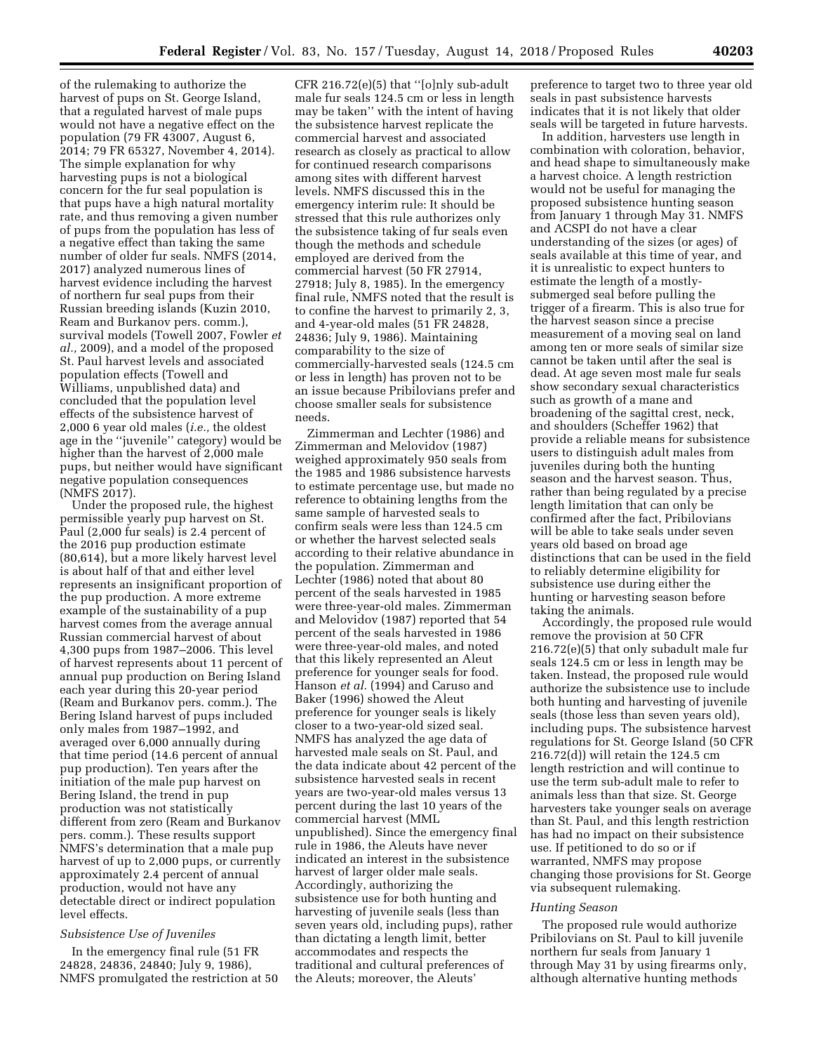of the rulemaking to authorize the harvest of pups on St. George Island, that a regulated harvest of male pups would not have a negative effect on the population (79 FR 43007, August 6, 2014; 79 FR 65327, November 4, 2014). The simple explanation for why harvesting pups is not a biological concern for the fur seal population is that pups have a high natural mortality rate, and thus removing a given number of pups from the population has less of a negative effect than taking the same number of older fur seals. NMFS (2014, 2017) analyzed numerous lines of harvest evidence including the harvest of northern fur seal pups from their Russian breeding islands (Kuzin 2010, Ream and Burkanov pers. comm.), survival models (Towell 2007, Fowler *et al.,* 2009), and a model of the proposed St. Paul harvest levels and associated population effects (Towell and Williams, unpublished data) and concluded that the population level effects of the subsistence harvest of 2,000 6 year old males (*i.e.,* the oldest age in the ''juvenile'' category) would be higher than the harvest of 2,000 male pups, but neither would have significant negative population consequences (NMFS 2017).

Under the proposed rule, the highest permissible yearly pup harvest on St. Paul (2,000 fur seals) is 2.4 percent of the 2016 pup production estimate (80,614), but a more likely harvest level is about half of that and either level represents an insignificant proportion of the pup production. A more extreme example of the sustainability of a pup harvest comes from the average annual Russian commercial harvest of about 4,300 pups from 1987–2006. This level of harvest represents about 11 percent of annual pup production on Bering Island each year during this 20-year period (Ream and Burkanov pers. comm.). The Bering Island harvest of pups included only males from 1987–1992, and averaged over 6,000 annually during that time period (14.6 percent of annual pup production). Ten years after the initiation of the male pup harvest on Bering Island, the trend in pup production was not statistically different from zero (Ream and Burkanov pers. comm.). These results support NMFS's determination that a male pup harvest of up to 2,000 pups, or currently approximately 2.4 percent of annual production, would not have any detectable direct or indirect population level effects.

## *Subsistence Use of Juveniles*

In the emergency final rule (51 FR 24828, 24836, 24840; July 9, 1986), NMFS promulgated the restriction at 50

CFR 216.72(e)(5) that ''[o]nly sub-adult male fur seals 124.5 cm or less in length may be taken'' with the intent of having the subsistence harvest replicate the commercial harvest and associated research as closely as practical to allow for continued research comparisons among sites with different harvest levels. NMFS discussed this in the emergency interim rule: It should be stressed that this rule authorizes only the subsistence taking of fur seals even though the methods and schedule employed are derived from the commercial harvest (50 FR 27914, 27918; July 8, 1985). In the emergency final rule, NMFS noted that the result is to confine the harvest to primarily 2, 3, and 4-year-old males (51 FR 24828, 24836; July 9, 1986). Maintaining comparability to the size of commercially-harvested seals (124.5 cm or less in length) has proven not to be an issue because Pribilovians prefer and choose smaller seals for subsistence needs.

Zimmerman and Lechter (1986) and Zimmerman and Melovidov (1987) weighed approximately 950 seals from the 1985 and 1986 subsistence harvests to estimate percentage use, but made no reference to obtaining lengths from the same sample of harvested seals to confirm seals were less than 124.5 cm or whether the harvest selected seals according to their relative abundance in the population. Zimmerman and Lechter (1986) noted that about 80 percent of the seals harvested in 1985 were three-year-old males. Zimmerman and Melovidov (1987) reported that 54 percent of the seals harvested in 1986 were three-year-old males, and noted that this likely represented an Aleut preference for younger seals for food. Hanson *et al.* (1994) and Caruso and Baker (1996) showed the Aleut preference for younger seals is likely closer to a two-year-old sized seal. NMFS has analyzed the age data of harvested male seals on St. Paul, and the data indicate about 42 percent of the subsistence harvested seals in recent years are two-year-old males versus 13 percent during the last 10 years of the commercial harvest (MML unpublished). Since the emergency final rule in 1986, the Aleuts have never indicated an interest in the subsistence harvest of larger older male seals. Accordingly, authorizing the subsistence use for both hunting and harvesting of juvenile seals (less than seven years old, including pups), rather than dictating a length limit, better accommodates and respects the traditional and cultural preferences of the Aleuts; moreover, the Aleuts'

preference to target two to three year old seals in past subsistence harvests indicates that it is not likely that older seals will be targeted in future harvests.

In addition, harvesters use length in combination with coloration, behavior, and head shape to simultaneously make a harvest choice. A length restriction would not be useful for managing the proposed subsistence hunting season from January 1 through May 31. NMFS and ACSPI do not have a clear understanding of the sizes (or ages) of seals available at this time of year, and it is unrealistic to expect hunters to estimate the length of a mostlysubmerged seal before pulling the trigger of a firearm. This is also true for the harvest season since a precise measurement of a moving seal on land among ten or more seals of similar size cannot be taken until after the seal is dead. At age seven most male fur seals show secondary sexual characteristics such as growth of a mane and broadening of the sagittal crest, neck, and shoulders (Scheffer 1962) that provide a reliable means for subsistence users to distinguish adult males from juveniles during both the hunting season and the harvest season. Thus, rather than being regulated by a precise length limitation that can only be confirmed after the fact, Pribilovians will be able to take seals under seven years old based on broad age distinctions that can be used in the field to reliably determine eligibility for subsistence use during either the hunting or harvesting season before taking the animals.

Accordingly, the proposed rule would remove the provision at 50 CFR 216.72(e)(5) that only subadult male fur seals 124.5 cm or less in length may be taken. Instead, the proposed rule would authorize the subsistence use to include both hunting and harvesting of juvenile seals (those less than seven years old), including pups. The subsistence harvest regulations for St. George Island (50 CFR 216.72(d)) will retain the 124.5 cm length restriction and will continue to use the term sub-adult male to refer to animals less than that size. St. George harvesters take younger seals on average than St. Paul, and this length restriction has had no impact on their subsistence use. If petitioned to do so or if warranted, NMFS may propose changing those provisions for St. George via subsequent rulemaking.

#### *Hunting Season*

The proposed rule would authorize Pribilovians on St. Paul to kill juvenile northern fur seals from January 1 through May 31 by using firearms only, although alternative hunting methods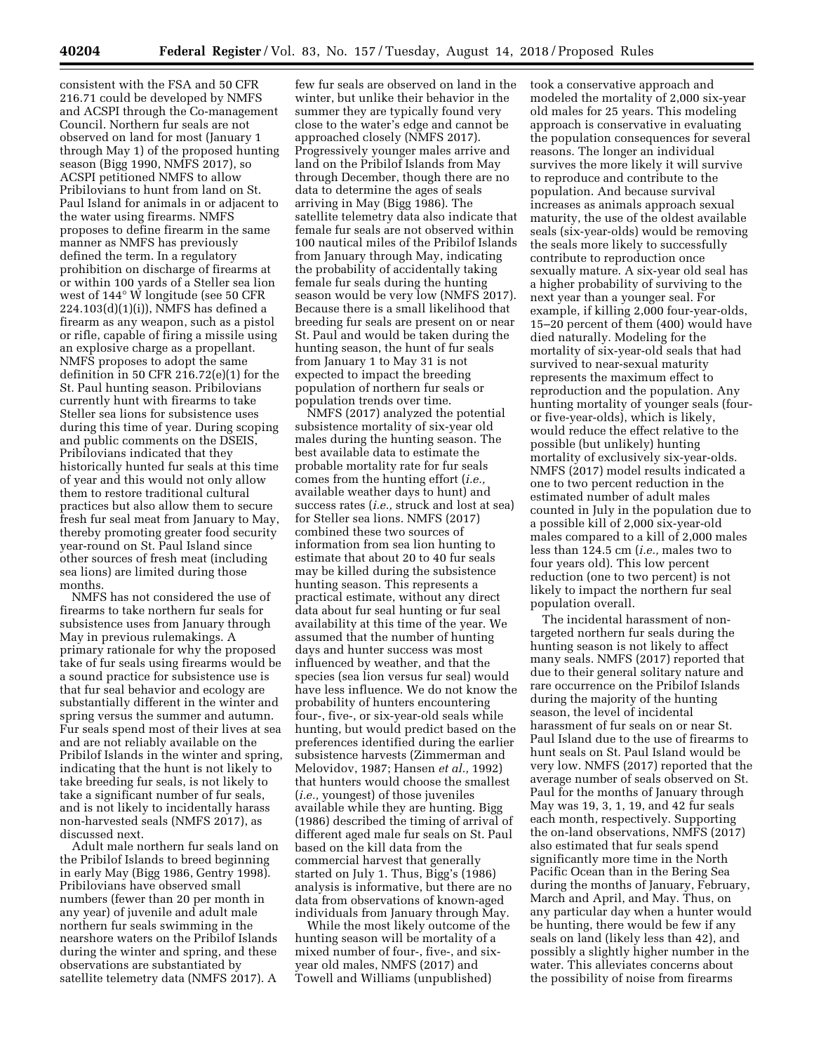consistent with the FSA and 50 CFR 216.71 could be developed by NMFS and ACSPI through the Co-management Council. Northern fur seals are not observed on land for most (January 1 through May 1) of the proposed hunting season (Bigg 1990, NMFS 2017), so ACSPI petitioned NMFS to allow Pribilovians to hunt from land on St. Paul Island for animals in or adjacent to the water using firearms. NMFS proposes to define firearm in the same manner as NMFS has previously defined the term. In a regulatory prohibition on discharge of firearms at or within 100 yards of a Steller sea lion west of 144° W longitude (see 50 CFR 224.103(d)(1)(i)), NMFS has defined a firearm as any weapon, such as a pistol or rifle, capable of firing a missile using an explosive charge as a propellant. NMFS proposes to adopt the same definition in 50 CFR 216.72(e)(1) for the St. Paul hunting season. Pribilovians currently hunt with firearms to take Steller sea lions for subsistence uses during this time of year. During scoping and public comments on the DSEIS, Pribilovians indicated that they historically hunted fur seals at this time of year and this would not only allow them to restore traditional cultural practices but also allow them to secure fresh fur seal meat from January to May, thereby promoting greater food security year-round on St. Paul Island since other sources of fresh meat (including sea lions) are limited during those months.

NMFS has not considered the use of firearms to take northern fur seals for subsistence uses from January through May in previous rulemakings. A primary rationale for why the proposed take of fur seals using firearms would be a sound practice for subsistence use is that fur seal behavior and ecology are substantially different in the winter and spring versus the summer and autumn. Fur seals spend most of their lives at sea and are not reliably available on the Pribilof Islands in the winter and spring, indicating that the hunt is not likely to take breeding fur seals, is not likely to take a significant number of fur seals, and is not likely to incidentally harass non-harvested seals (NMFS 2017), as discussed next.

Adult male northern fur seals land on the Pribilof Islands to breed beginning in early May (Bigg 1986, Gentry 1998). Pribilovians have observed small numbers (fewer than 20 per month in any year) of juvenile and adult male northern fur seals swimming in the nearshore waters on the Pribilof Islands during the winter and spring, and these observations are substantiated by satellite telemetry data (NMFS 2017). A

few fur seals are observed on land in the winter, but unlike their behavior in the summer they are typically found very close to the water's edge and cannot be approached closely (NMFS 2017). Progressively younger males arrive and land on the Pribilof Islands from May through December, though there are no data to determine the ages of seals arriving in May (Bigg 1986). The satellite telemetry data also indicate that female fur seals are not observed within 100 nautical miles of the Pribilof Islands from January through May, indicating the probability of accidentally taking female fur seals during the hunting season would be very low (NMFS 2017). Because there is a small likelihood that breeding fur seals are present on or near St. Paul and would be taken during the hunting season, the hunt of fur seals from January 1 to May 31 is not expected to impact the breeding population of northern fur seals or population trends over time.

NMFS (2017) analyzed the potential subsistence mortality of six-year old males during the hunting season. The best available data to estimate the probable mortality rate for fur seals comes from the hunting effort (*i.e.,*  available weather days to hunt) and success rates (*i.e.,* struck and lost at sea) for Steller sea lions. NMFS (2017) combined these two sources of information from sea lion hunting to estimate that about 20 to 40 fur seals may be killed during the subsistence hunting season. This represents a practical estimate, without any direct data about fur seal hunting or fur seal availability at this time of the year. We assumed that the number of hunting days and hunter success was most influenced by weather, and that the species (sea lion versus fur seal) would have less influence. We do not know the probability of hunters encountering four-, five-, or six-year-old seals while hunting, but would predict based on the preferences identified during the earlier subsistence harvests (Zimmerman and Melovidov, 1987; Hansen *et al.,* 1992) that hunters would choose the smallest (*i.e.,* youngest) of those juveniles available while they are hunting. Bigg (1986) described the timing of arrival of different aged male fur seals on St. Paul based on the kill data from the commercial harvest that generally started on July 1. Thus, Bigg's (1986) analysis is informative, but there are no data from observations of known-aged individuals from January through May.

While the most likely outcome of the hunting season will be mortality of a mixed number of four-, five-, and sixyear old males, NMFS (2017) and Towell and Williams (unpublished)

took a conservative approach and modeled the mortality of 2,000 six-year old males for 25 years. This modeling approach is conservative in evaluating the population consequences for several reasons. The longer an individual survives the more likely it will survive to reproduce and contribute to the population. And because survival increases as animals approach sexual maturity, the use of the oldest available seals (six-year-olds) would be removing the seals more likely to successfully contribute to reproduction once sexually mature. A six-year old seal has a higher probability of surviving to the next year than a younger seal. For example, if killing 2,000 four-year-olds, 15–20 percent of them (400) would have died naturally. Modeling for the mortality of six-year-old seals that had survived to near-sexual maturity represents the maximum effect to reproduction and the population. Any hunting mortality of younger seals (fouror five-year-olds), which is likely, would reduce the effect relative to the possible (but unlikely) hunting mortality of exclusively six-year-olds. NMFS (2017) model results indicated a one to two percent reduction in the estimated number of adult males counted in July in the population due to a possible kill of 2,000 six-year-old males compared to a kill of 2,000 males less than 124.5 cm (*i.e.,* males two to four years old). This low percent reduction (one to two percent) is not likely to impact the northern fur seal population overall.

The incidental harassment of nontargeted northern fur seals during the hunting season is not likely to affect many seals. NMFS (2017) reported that due to their general solitary nature and rare occurrence on the Pribilof Islands during the majority of the hunting season, the level of incidental harassment of fur seals on or near St. Paul Island due to the use of firearms to hunt seals on St. Paul Island would be very low. NMFS (2017) reported that the average number of seals observed on St. Paul for the months of January through May was 19, 3, 1, 19, and 42 fur seals each month, respectively. Supporting the on-land observations, NMFS (2017) also estimated that fur seals spend significantly more time in the North Pacific Ocean than in the Bering Sea during the months of January, February, March and April, and May. Thus, on any particular day when a hunter would be hunting, there would be few if any seals on land (likely less than 42), and possibly a slightly higher number in the water. This alleviates concerns about the possibility of noise from firearms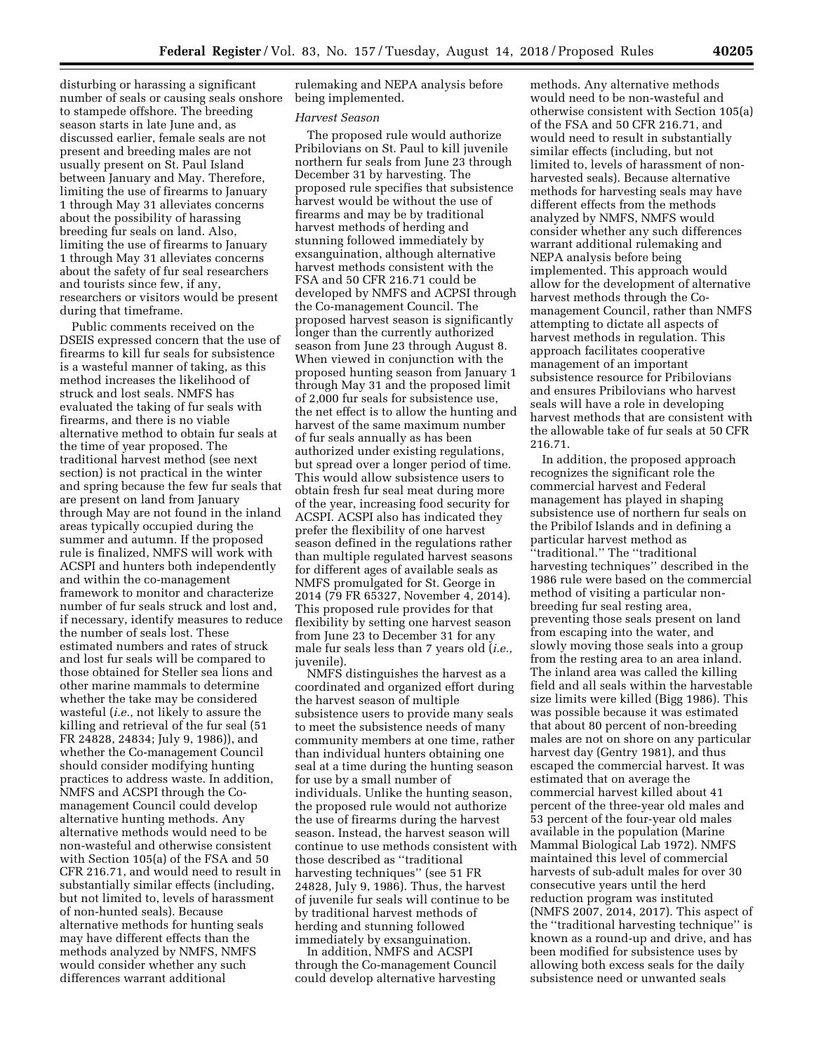disturbing or harassing a significant number of seals or causing seals onshore to stampede offshore. The breeding season starts in late June and, as discussed earlier, female seals are not present and breeding males are not usually present on St. Paul Island between January and May. Therefore, limiting the use of firearms to January 1 through May 31 alleviates concerns about the possibility of harassing breeding fur seals on land. Also, limiting the use of firearms to January 1 through May 31 alleviates concerns about the safety of fur seal researchers and tourists since few, if any, researchers or visitors would be present during that timeframe.

Public comments received on the DSEIS expressed concern that the use of firearms to kill fur seals for subsistence is a wasteful manner of taking, as this method increases the likelihood of struck and lost seals. NMFS has evaluated the taking of fur seals with firearms, and there is no viable alternative method to obtain fur seals at the time of year proposed. The traditional harvest method (see next section) is not practical in the winter and spring because the few fur seals that are present on land from January through May are not found in the inland areas typically occupied during the summer and autumn. If the proposed rule is finalized, NMFS will work with ACSPI and hunters both independently and within the co-management framework to monitor and characterize number of fur seals struck and lost and, if necessary, identify measures to reduce the number of seals lost. These estimated numbers and rates of struck and lost fur seals will be compared to those obtained for Steller sea lions and other marine mammals to determine whether the take may be considered wasteful (*i.e.,* not likely to assure the killing and retrieval of the fur seal (51 FR 24828, 24834; July 9, 1986)), and whether the Co-management Council should consider modifying hunting practices to address waste. In addition, NMFS and ACSPI through the Comanagement Council could develop alternative hunting methods. Any alternative methods would need to be non-wasteful and otherwise consistent with Section 105(a) of the FSA and 50 CFR 216.71, and would need to result in substantially similar effects (including, but not limited to, levels of harassment of non-hunted seals). Because alternative methods for hunting seals may have different effects than the methods analyzed by NMFS, NMFS would consider whether any such differences warrant additional

rulemaking and NEPA analysis before being implemented.

#### *Harvest Season*

The proposed rule would authorize Pribilovians on St. Paul to kill juvenile northern fur seals from June 23 through December 31 by harvesting. The proposed rule specifies that subsistence harvest would be without the use of firearms and may be by traditional harvest methods of herding and stunning followed immediately by exsanguination, although alternative harvest methods consistent with the FSA and 50 CFR 216.71 could be developed by NMFS and ACPSI through the Co-management Council. The proposed harvest season is significantly longer than the currently authorized season from June 23 through August 8. When viewed in conjunction with the proposed hunting season from January 1 through May 31 and the proposed limit of 2,000 fur seals for subsistence use, the net effect is to allow the hunting and harvest of the same maximum number of fur seals annually as has been authorized under existing regulations, but spread over a longer period of time. This would allow subsistence users to obtain fresh fur seal meat during more of the year, increasing food security for ACSPI. ACSPI also has indicated they prefer the flexibility of one harvest season defined in the regulations rather than multiple regulated harvest seasons for different ages of available seals as NMFS promulgated for St. George in 2014 (79 FR 65327, November 4, 2014). This proposed rule provides for that flexibility by setting one harvest season from June 23 to December 31 for any male fur seals less than 7 years old (*i.e.,*  juvenile).

NMFS distinguishes the harvest as a coordinated and organized effort during the harvest season of multiple subsistence users to provide many seals to meet the subsistence needs of many community members at one time, rather than individual hunters obtaining one seal at a time during the hunting season for use by a small number of individuals. Unlike the hunting season, the proposed rule would not authorize the use of firearms during the harvest season. Instead, the harvest season will continue to use methods consistent with those described as ''traditional harvesting techniques'' (see 51 FR 24828, July 9, 1986). Thus, the harvest of juvenile fur seals will continue to be by traditional harvest methods of herding and stunning followed immediately by exsanguination.

In addition, NMFS and ACSPI through the Co-management Council could develop alternative harvesting

methods. Any alternative methods would need to be non-wasteful and otherwise consistent with Section 105(a) of the FSA and 50 CFR 216.71, and would need to result in substantially similar effects (including, but not limited to, levels of harassment of nonharvested seals). Because alternative methods for harvesting seals may have different effects from the methods analyzed by NMFS, NMFS would consider whether any such differences warrant additional rulemaking and NEPA analysis before being implemented. This approach would allow for the development of alternative harvest methods through the Comanagement Council, rather than NMFS attempting to dictate all aspects of harvest methods in regulation. This approach facilitates cooperative management of an important subsistence resource for Pribilovians and ensures Pribilovians who harvest seals will have a role in developing harvest methods that are consistent with the allowable take of fur seals at 50 CFR 216.71.

In addition, the proposed approach recognizes the significant role the commercial harvest and Federal management has played in shaping subsistence use of northern fur seals on the Pribilof Islands and in defining a particular harvest method as ''traditional.'' The ''traditional harvesting techniques'' described in the 1986 rule were based on the commercial method of visiting a particular nonbreeding fur seal resting area, preventing those seals present on land from escaping into the water, and slowly moving those seals into a group from the resting area to an area inland. The inland area was called the killing field and all seals within the harvestable size limits were killed (Bigg 1986). This was possible because it was estimated that about 80 percent of non-breeding males are not on shore on any particular harvest day (Gentry 1981), and thus escaped the commercial harvest. It was estimated that on average the commercial harvest killed about 41 percent of the three-year old males and 53 percent of the four-year old males available in the population (Marine Mammal Biological Lab 1972). NMFS maintained this level of commercial harvests of sub-adult males for over 30 consecutive years until the herd reduction program was instituted (NMFS 2007, 2014, 2017). This aspect of the ''traditional harvesting technique'' is known as a round-up and drive, and has been modified for subsistence uses by allowing both excess seals for the daily subsistence need or unwanted seals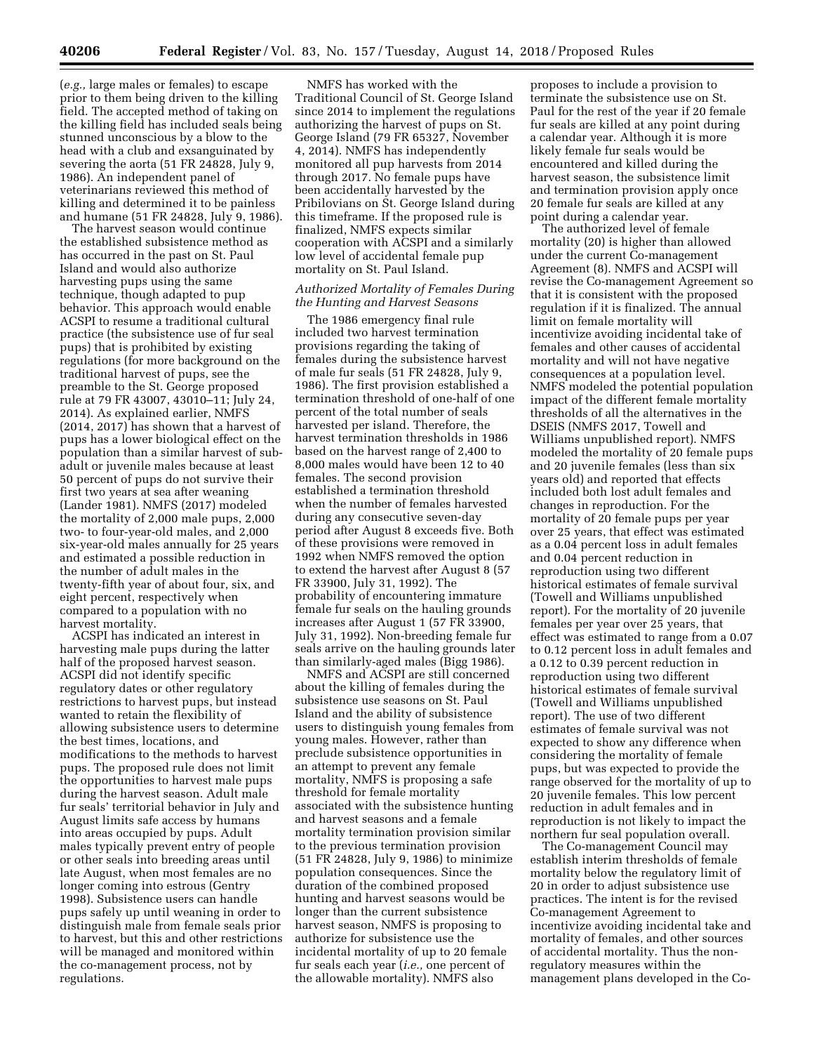(*e.g.,* large males or females) to escape prior to them being driven to the killing field. The accepted method of taking on the killing field has included seals being stunned unconscious by a blow to the head with a club and exsanguinated by severing the aorta (51 FR 24828, July 9, 1986). An independent panel of veterinarians reviewed this method of killing and determined it to be painless and humane (51 FR 24828, July 9, 1986).

The harvest season would continue the established subsistence method as has occurred in the past on St. Paul Island and would also authorize harvesting pups using the same technique, though adapted to pup behavior. This approach would enable ACSPI to resume a traditional cultural practice (the subsistence use of fur seal pups) that is prohibited by existing regulations (for more background on the traditional harvest of pups, see the preamble to the St. George proposed rule at 79 FR 43007, 43010–11; July 24, 2014). As explained earlier, NMFS (2014, 2017) has shown that a harvest of pups has a lower biological effect on the population than a similar harvest of subadult or juvenile males because at least 50 percent of pups do not survive their first two years at sea after weaning (Lander 1981). NMFS (2017) modeled the mortality of 2,000 male pups, 2,000 two- to four-year-old males, and 2,000 six-year-old males annually for 25 years and estimated a possible reduction in the number of adult males in the twenty-fifth year of about four, six, and eight percent, respectively when compared to a population with no harvest mortality.

ACSPI has indicated an interest in harvesting male pups during the latter half of the proposed harvest season. ACSPI did not identify specific regulatory dates or other regulatory restrictions to harvest pups, but instead wanted to retain the flexibility of allowing subsistence users to determine the best times, locations, and modifications to the methods to harvest pups. The proposed rule does not limit the opportunities to harvest male pups during the harvest season. Adult male fur seals' territorial behavior in July and August limits safe access by humans into areas occupied by pups. Adult males typically prevent entry of people or other seals into breeding areas until late August, when most females are no longer coming into estrous (Gentry 1998). Subsistence users can handle pups safely up until weaning in order to distinguish male from female seals prior to harvest, but this and other restrictions will be managed and monitored within the co-management process, not by regulations.

NMFS has worked with the Traditional Council of St. George Island since 2014 to implement the regulations authorizing the harvest of pups on St. George Island (79 FR 65327, November 4, 2014). NMFS has independently monitored all pup harvests from 2014 through 2017. No female pups have been accidentally harvested by the Pribilovians on St. George Island during this timeframe. If the proposed rule is finalized, NMFS expects similar cooperation with ACSPI and a similarly low level of accidental female pup mortality on St. Paul Island.

### *Authorized Mortality of Females During the Hunting and Harvest Seasons*

The 1986 emergency final rule included two harvest termination provisions regarding the taking of females during the subsistence harvest of male fur seals (51 FR 24828, July 9, 1986). The first provision established a termination threshold of one-half of one percent of the total number of seals harvested per island. Therefore, the harvest termination thresholds in 1986 based on the harvest range of 2,400 to 8,000 males would have been 12 to 40 females. The second provision established a termination threshold when the number of females harvested during any consecutive seven-day period after August 8 exceeds five. Both of these provisions were removed in 1992 when NMFS removed the option to extend the harvest after August 8 (57 FR 33900, July 31, 1992). The probability of encountering immature female fur seals on the hauling grounds increases after August 1 (57 FR 33900, July 31, 1992). Non-breeding female fur seals arrive on the hauling grounds later than similarly-aged males (Bigg 1986).

NMFS and ACSPI are still concerned about the killing of females during the subsistence use seasons on St. Paul Island and the ability of subsistence users to distinguish young females from young males. However, rather than preclude subsistence opportunities in an attempt to prevent any female mortality, NMFS is proposing a safe threshold for female mortality associated with the subsistence hunting and harvest seasons and a female mortality termination provision similar to the previous termination provision (51 FR 24828, July 9, 1986) to minimize population consequences. Since the duration of the combined proposed hunting and harvest seasons would be longer than the current subsistence harvest season, NMFS is proposing to authorize for subsistence use the incidental mortality of up to 20 female fur seals each year (*i.e.,* one percent of the allowable mortality). NMFS also

proposes to include a provision to terminate the subsistence use on St. Paul for the rest of the year if 20 female fur seals are killed at any point during a calendar year. Although it is more likely female fur seals would be encountered and killed during the harvest season, the subsistence limit and termination provision apply once 20 female fur seals are killed at any point during a calendar year.

The authorized level of female mortality (20) is higher than allowed under the current Co-management Agreement (8). NMFS and ACSPI will revise the Co-management Agreement so that it is consistent with the proposed regulation if it is finalized. The annual limit on female mortality will incentivize avoiding incidental take of females and other causes of accidental mortality and will not have negative consequences at a population level. NMFS modeled the potential population impact of the different female mortality thresholds of all the alternatives in the DSEIS (NMFS 2017, Towell and Williams unpublished report). NMFS modeled the mortality of 20 female pups and 20 juvenile females (less than six years old) and reported that effects included both lost adult females and changes in reproduction. For the mortality of 20 female pups per year over 25 years, that effect was estimated as a 0.04 percent loss in adult females and 0.04 percent reduction in reproduction using two different historical estimates of female survival (Towell and Williams unpublished report). For the mortality of 20 juvenile females per year over 25 years, that effect was estimated to range from a 0.07 to 0.12 percent loss in adult females and a 0.12 to 0.39 percent reduction in reproduction using two different historical estimates of female survival (Towell and Williams unpublished report). The use of two different estimates of female survival was not expected to show any difference when considering the mortality of female pups, but was expected to provide the range observed for the mortality of up to 20 juvenile females. This low percent reduction in adult females and in reproduction is not likely to impact the northern fur seal population overall.

The Co-management Council may establish interim thresholds of female mortality below the regulatory limit of 20 in order to adjust subsistence use practices. The intent is for the revised Co-management Agreement to incentivize avoiding incidental take and mortality of females, and other sources of accidental mortality. Thus the nonregulatory measures within the management plans developed in the Co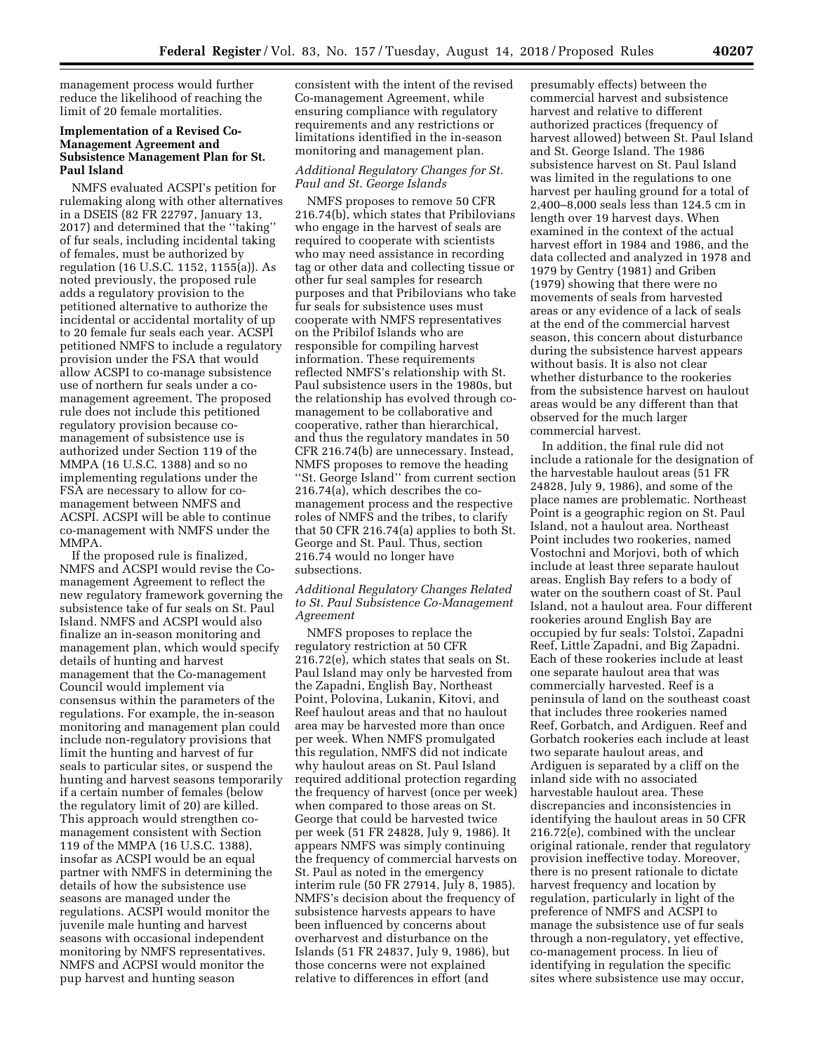management process would further reduce the likelihood of reaching the limit of 20 female mortalities.

## **Implementation of a Revised Co-Management Agreement and Subsistence Management Plan for St. Paul Island**

NMFS evaluated ACSPI's petition for rulemaking along with other alternatives in a DSEIS (82 FR 22797, January 13, 2017) and determined that the ''taking'' of fur seals, including incidental taking of females, must be authorized by regulation (16 U.S.C. 1152, 1155(a)). As noted previously, the proposed rule adds a regulatory provision to the petitioned alternative to authorize the incidental or accidental mortality of up to 20 female fur seals each year. ACSPI petitioned NMFS to include a regulatory provision under the FSA that would allow ACSPI to co-manage subsistence use of northern fur seals under a comanagement agreement. The proposed rule does not include this petitioned regulatory provision because comanagement of subsistence use is authorized under Section 119 of the MMPA (16 U.S.C. 1388) and so no implementing regulations under the FSA are necessary to allow for comanagement between NMFS and ACSPI. ACSPI will be able to continue co-management with NMFS under the MMPA.

If the proposed rule is finalized, NMFS and ACSPI would revise the Comanagement Agreement to reflect the new regulatory framework governing the subsistence take of fur seals on St. Paul Island. NMFS and ACSPI would also finalize an in-season monitoring and management plan, which would specify details of hunting and harvest management that the Co-management Council would implement via consensus within the parameters of the regulations. For example, the in-season monitoring and management plan could include non-regulatory provisions that limit the hunting and harvest of fur seals to particular sites, or suspend the hunting and harvest seasons temporarily if a certain number of females (below the regulatory limit of 20) are killed. This approach would strengthen comanagement consistent with Section 119 of the MMPA (16 U.S.C. 1388), insofar as ACSPI would be an equal partner with NMFS in determining the details of how the subsistence use seasons are managed under the regulations. ACSPI would monitor the juvenile male hunting and harvest seasons with occasional independent monitoring by NMFS representatives. NMFS and ACPSI would monitor the pup harvest and hunting season

consistent with the intent of the revised Co-management Agreement, while ensuring compliance with regulatory requirements and any restrictions or limitations identified in the in-season monitoring and management plan.

## *Additional Regulatory Changes for St. Paul and St. George Islands*

NMFS proposes to remove 50 CFR 216.74(b), which states that Pribilovians who engage in the harvest of seals are required to cooperate with scientists who may need assistance in recording tag or other data and collecting tissue or other fur seal samples for research purposes and that Pribilovians who take fur seals for subsistence uses must cooperate with NMFS representatives on the Pribilof Islands who are responsible for compiling harvest information. These requirements reflected NMFS's relationship with St. Paul subsistence users in the 1980s, but the relationship has evolved through comanagement to be collaborative and cooperative, rather than hierarchical, and thus the regulatory mandates in 50 CFR 216.74(b) are unnecessary. Instead, NMFS proposes to remove the heading ''St. George Island'' from current section 216.74(a), which describes the comanagement process and the respective roles of NMFS and the tribes, to clarify that 50 CFR 216.74(a) applies to both St. George and St. Paul. Thus, section 216.74 would no longer have subsections.

## *Additional Regulatory Changes Related to St. Paul Subsistence Co-Management Agreement*

NMFS proposes to replace the regulatory restriction at 50 CFR 216.72(e), which states that seals on St. Paul Island may only be harvested from the Zapadni, English Bay, Northeast Point, Polovina, Lukanin, Kitovi, and Reef haulout areas and that no haulout area may be harvested more than once per week. When NMFS promulgated this regulation, NMFS did not indicate why haulout areas on St. Paul Island required additional protection regarding the frequency of harvest (once per week) when compared to those areas on St. George that could be harvested twice per week (51 FR 24828, July 9, 1986). It appears NMFS was simply continuing the frequency of commercial harvests on St. Paul as noted in the emergency interim rule (50 FR 27914, July 8, 1985). NMFS's decision about the frequency of subsistence harvests appears to have been influenced by concerns about overharvest and disturbance on the Islands (51 FR 24837, July 9, 1986), but those concerns were not explained relative to differences in effort (and

presumably effects) between the commercial harvest and subsistence harvest and relative to different authorized practices (frequency of harvest allowed) between St. Paul Island and St. George Island. The 1986 subsistence harvest on St. Paul Island was limited in the regulations to one harvest per hauling ground for a total of 2,400–8,000 seals less than 124.5 cm in length over 19 harvest days. When examined in the context of the actual harvest effort in 1984 and 1986, and the data collected and analyzed in 1978 and 1979 by Gentry (1981) and Griben (1979) showing that there were no movements of seals from harvested areas or any evidence of a lack of seals at the end of the commercial harvest season, this concern about disturbance during the subsistence harvest appears without basis. It is also not clear whether disturbance to the rookeries from the subsistence harvest on haulout areas would be any different than that observed for the much larger commercial harvest.

In addition, the final rule did not include a rationale for the designation of the harvestable haulout areas (51 FR 24828, July 9, 1986), and some of the place names are problematic. Northeast Point is a geographic region on St. Paul Island, not a haulout area. Northeast Point includes two rookeries, named Vostochni and Morjovi, both of which include at least three separate haulout areas. English Bay refers to a body of water on the southern coast of St. Paul Island, not a haulout area. Four different rookeries around English Bay are occupied by fur seals: Tolstoi, Zapadni Reef, Little Zapadni, and Big Zapadni. Each of these rookeries include at least one separate haulout area that was commercially harvested. Reef is a peninsula of land on the southeast coast that includes three rookeries named Reef, Gorbatch, and Ardiguen. Reef and Gorbatch rookeries each include at least two separate haulout areas, and Ardiguen is separated by a cliff on the inland side with no associated harvestable haulout area. These discrepancies and inconsistencies in identifying the haulout areas in 50 CFR 216.72(e), combined with the unclear original rationale, render that regulatory provision ineffective today. Moreover, there is no present rationale to dictate harvest frequency and location by regulation, particularly in light of the preference of NMFS and ACSPI to manage the subsistence use of fur seals through a non-regulatory, yet effective, co-management process. In lieu of identifying in regulation the specific sites where subsistence use may occur,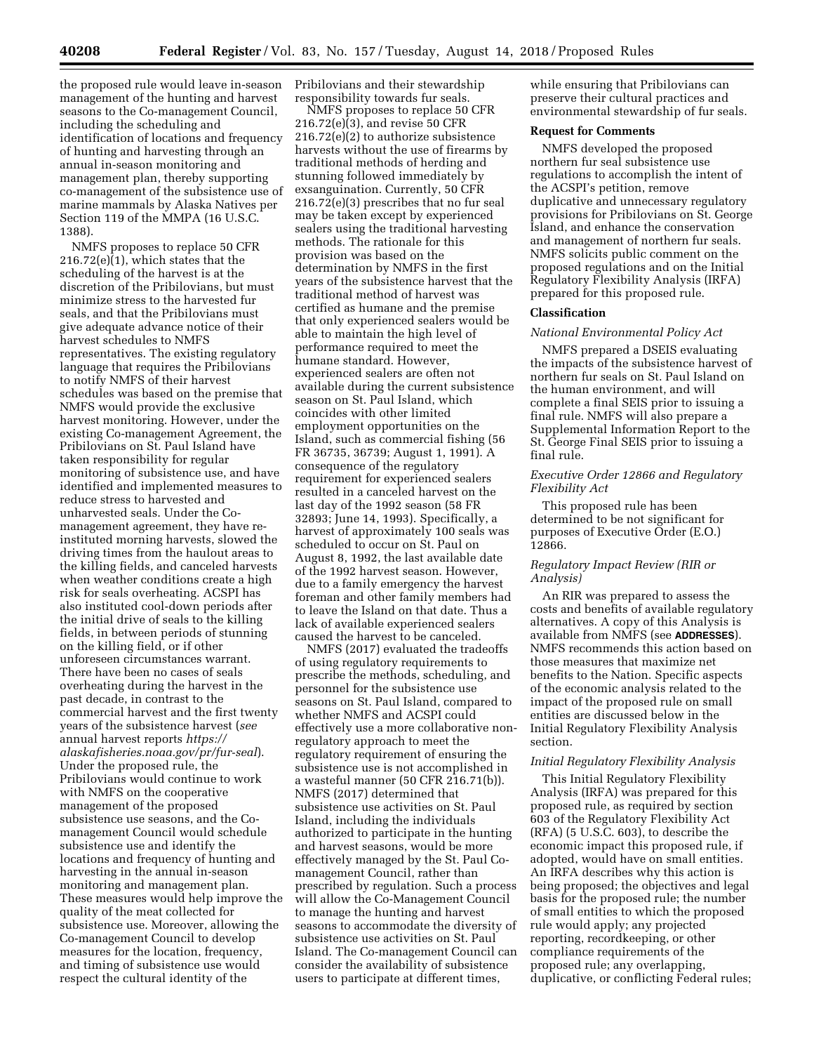the proposed rule would leave in-season management of the hunting and harvest seasons to the Co-management Council, including the scheduling and identification of locations and frequency of hunting and harvesting through an annual in-season monitoring and management plan, thereby supporting co-management of the subsistence use of marine mammals by Alaska Natives per Section 119 of the MMPA (16 U.S.C. 1388).

NMFS proposes to replace 50 CFR  $216.72(e)(1)$ , which states that the scheduling of the harvest is at the discretion of the Pribilovians, but must minimize stress to the harvested fur seals, and that the Pribilovians must give adequate advance notice of their harvest schedules to NMFS representatives. The existing regulatory language that requires the Pribilovians to notify NMFS of their harvest schedules was based on the premise that NMFS would provide the exclusive harvest monitoring. However, under the existing Co-management Agreement, the Pribilovians on St. Paul Island have taken responsibility for regular monitoring of subsistence use, and have identified and implemented measures to reduce stress to harvested and unharvested seals. Under the Comanagement agreement, they have reinstituted morning harvests, slowed the driving times from the haulout areas to the killing fields, and canceled harvests when weather conditions create a high risk for seals overheating. ACSPI has also instituted cool-down periods after the initial drive of seals to the killing fields, in between periods of stunning on the killing field, or if other unforeseen circumstances warrant. There have been no cases of seals overheating during the harvest in the past decade, in contrast to the commercial harvest and the first twenty years of the subsistence harvest (*see*  annual harvest reports *[https://](https://alaskafisheries.noaa.gov/pr/fur-seal) [alaskafisheries.noaa.gov/pr/fur-seal](https://alaskafisheries.noaa.gov/pr/fur-seal)*). Under the proposed rule, the Pribilovians would continue to work with NMFS on the cooperative management of the proposed subsistence use seasons, and the Comanagement Council would schedule subsistence use and identify the locations and frequency of hunting and harvesting in the annual in-season monitoring and management plan. These measures would help improve the quality of the meat collected for subsistence use. Moreover, allowing the Co-management Council to develop measures for the location, frequency, and timing of subsistence use would respect the cultural identity of the

Pribilovians and their stewardship responsibility towards fur seals.

NMFS proposes to replace 50 CFR 216.72(e)(3), and revise 50 CFR 216.72(e)(2) to authorize subsistence harvests without the use of firearms by traditional methods of herding and stunning followed immediately by exsanguination. Currently, 50 CFR 216.72(e)(3) prescribes that no fur seal may be taken except by experienced sealers using the traditional harvesting methods. The rationale for this provision was based on the determination by NMFS in the first years of the subsistence harvest that the traditional method of harvest was certified as humane and the premise that only experienced sealers would be able to maintain the high level of performance required to meet the humane standard. However, experienced sealers are often not available during the current subsistence season on St. Paul Island, which coincides with other limited employment opportunities on the Island, such as commercial fishing (56 FR 36735, 36739; August 1, 1991). A consequence of the regulatory requirement for experienced sealers resulted in a canceled harvest on the last day of the 1992 season (58 FR 32893; June 14, 1993). Specifically, a harvest of approximately 100 seals was scheduled to occur on St. Paul on August 8, 1992, the last available date of the 1992 harvest season. However, due to a family emergency the harvest foreman and other family members had to leave the Island on that date. Thus a lack of available experienced sealers caused the harvest to be canceled.

NMFS (2017) evaluated the tradeoffs of using regulatory requirements to prescribe the methods, scheduling, and personnel for the subsistence use seasons on St. Paul Island, compared to whether NMFS and ACSPI could effectively use a more collaborative nonregulatory approach to meet the regulatory requirement of ensuring the subsistence use is not accomplished in a wasteful manner (50 CFR 216.71(b)). NMFS (2017) determined that subsistence use activities on St. Paul Island, including the individuals authorized to participate in the hunting and harvest seasons, would be more effectively managed by the St. Paul Comanagement Council, rather than prescribed by regulation. Such a process will allow the Co-Management Council to manage the hunting and harvest seasons to accommodate the diversity of subsistence use activities on St. Paul Island. The Co-management Council can consider the availability of subsistence users to participate at different times,

while ensuring that Pribilovians can preserve their cultural practices and environmental stewardship of fur seals.

## **Request for Comments**

NMFS developed the proposed northern fur seal subsistence use regulations to accomplish the intent of the ACSPI's petition, remove duplicative and unnecessary regulatory provisions for Pribilovians on St. George Island, and enhance the conservation and management of northern fur seals. NMFS solicits public comment on the proposed regulations and on the Initial Regulatory Flexibility Analysis (IRFA) prepared for this proposed rule.

#### **Classification**

#### *National Environmental Policy Act*

NMFS prepared a DSEIS evaluating the impacts of the subsistence harvest of northern fur seals on St. Paul Island on the human environment, and will complete a final SEIS prior to issuing a final rule. NMFS will also prepare a Supplemental Information Report to the St. George Final SEIS prior to issuing a final rule.

## *Executive Order 12866 and Regulatory Flexibility Act*

This proposed rule has been determined to be not significant for purposes of Executive Order (E.O.) 12866.

## *Regulatory Impact Review (RIR or Analysis)*

An RIR was prepared to assess the costs and benefits of available regulatory alternatives. A copy of this Analysis is available from NMFS (see **ADDRESSES**). NMFS recommends this action based on those measures that maximize net benefits to the Nation. Specific aspects of the economic analysis related to the impact of the proposed rule on small entities are discussed below in the Initial Regulatory Flexibility Analysis section.

#### *Initial Regulatory Flexibility Analysis*

This Initial Regulatory Flexibility Analysis (IRFA) was prepared for this proposed rule, as required by section 603 of the Regulatory Flexibility Act (RFA) (5 U.S.C. 603), to describe the economic impact this proposed rule, if adopted, would have on small entities. An IRFA describes why this action is being proposed; the objectives and legal basis for the proposed rule; the number of small entities to which the proposed rule would apply; any projected reporting, recordkeeping, or other compliance requirements of the proposed rule; any overlapping, duplicative, or conflicting Federal rules;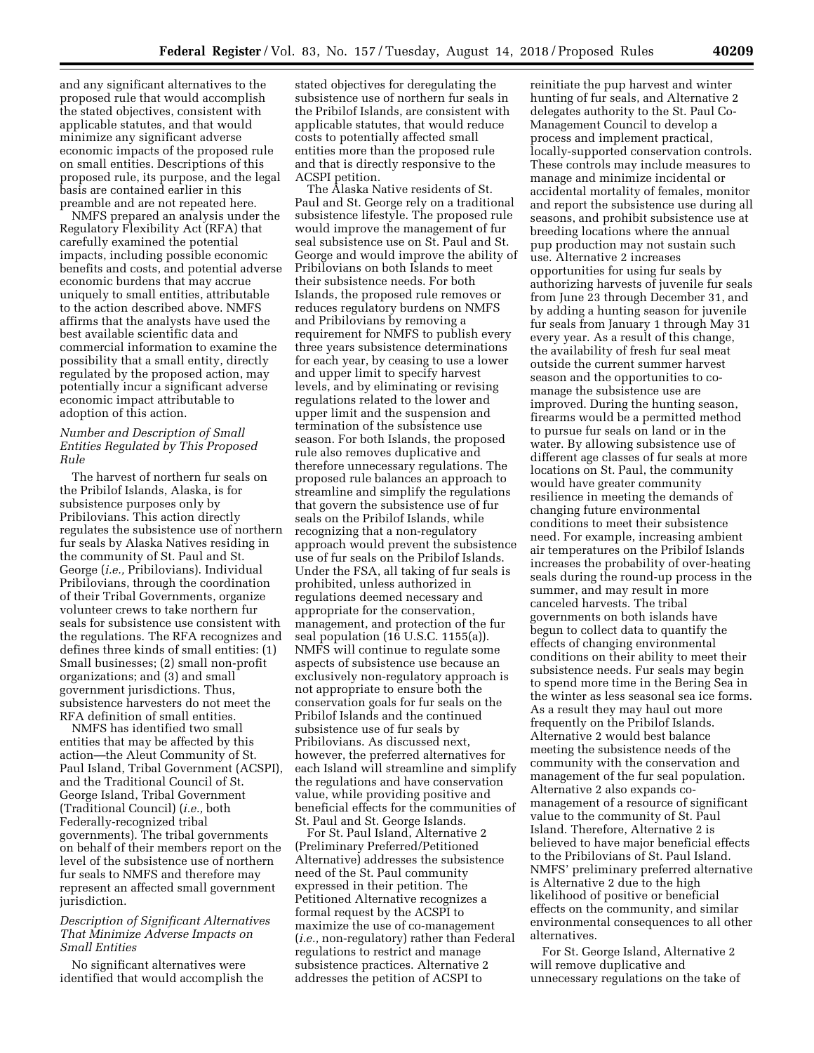and any significant alternatives to the proposed rule that would accomplish the stated objectives, consistent with applicable statutes, and that would minimize any significant adverse economic impacts of the proposed rule on small entities. Descriptions of this proposed rule, its purpose, and the legal basis are contained earlier in this preamble and are not repeated here.

NMFS prepared an analysis under the Regulatory Flexibility Act (RFA) that carefully examined the potential impacts, including possible economic benefits and costs, and potential adverse economic burdens that may accrue uniquely to small entities, attributable to the action described above. NMFS affirms that the analysts have used the best available scientific data and commercial information to examine the possibility that a small entity, directly regulated by the proposed action, may potentially incur a significant adverse economic impact attributable to adoption of this action.

## *Number and Description of Small Entities Regulated by This Proposed Rule*

The harvest of northern fur seals on the Pribilof Islands, Alaska, is for subsistence purposes only by Pribilovians. This action directly regulates the subsistence use of northern fur seals by Alaska Natives residing in the community of St. Paul and St. George (*i.e.,* Pribilovians). Individual Pribilovians, through the coordination of their Tribal Governments, organize volunteer crews to take northern fur seals for subsistence use consistent with the regulations. The RFA recognizes and defines three kinds of small entities: (1) Small businesses; (2) small non-profit organizations; and (3) and small government jurisdictions. Thus, subsistence harvesters do not meet the RFA definition of small entities.

NMFS has identified two small entities that may be affected by this action—the Aleut Community of St. Paul Island, Tribal Government (ACSPI), and the Traditional Council of St. George Island, Tribal Government (Traditional Council) (*i.e.,* both Federally-recognized tribal governments). The tribal governments on behalf of their members report on the level of the subsistence use of northern fur seals to NMFS and therefore may represent an affected small government jurisdiction.

#### *Description of Significant Alternatives That Minimize Adverse Impacts on Small Entities*

No significant alternatives were identified that would accomplish the

stated objectives for deregulating the subsistence use of northern fur seals in the Pribilof Islands, are consistent with applicable statutes, that would reduce costs to potentially affected small entities more than the proposed rule and that is directly responsive to the ACSPI petition.

The Alaska Native residents of St. Paul and St. George rely on a traditional subsistence lifestyle. The proposed rule would improve the management of fur seal subsistence use on St. Paul and St. George and would improve the ability of Pribilovians on both Islands to meet their subsistence needs. For both Islands, the proposed rule removes or reduces regulatory burdens on NMFS and Pribilovians by removing a requirement for NMFS to publish every three years subsistence determinations for each year, by ceasing to use a lower and upper limit to specify harvest levels, and by eliminating or revising regulations related to the lower and upper limit and the suspension and termination of the subsistence use season. For both Islands, the proposed rule also removes duplicative and therefore unnecessary regulations. The proposed rule balances an approach to streamline and simplify the regulations that govern the subsistence use of fur seals on the Pribilof Islands, while recognizing that a non-regulatory approach would prevent the subsistence use of fur seals on the Pribilof Islands. Under the FSA, all taking of fur seals is prohibited, unless authorized in regulations deemed necessary and appropriate for the conservation, management, and protection of the fur seal population (16 U.S.C. 1155(a)). NMFS will continue to regulate some aspects of subsistence use because an exclusively non-regulatory approach is not appropriate to ensure both the conservation goals for fur seals on the Pribilof Islands and the continued subsistence use of fur seals by Pribilovians. As discussed next, however, the preferred alternatives for each Island will streamline and simplify the regulations and have conservation value, while providing positive and beneficial effects for the communities of St. Paul and St. George Islands.

For St. Paul Island, Alternative 2 (Preliminary Preferred/Petitioned Alternative) addresses the subsistence need of the St. Paul community expressed in their petition. The Petitioned Alternative recognizes a formal request by the ACSPI to maximize the use of co-management (*i.e.,* non-regulatory) rather than Federal regulations to restrict and manage subsistence practices. Alternative 2 addresses the petition of ACSPI to

reinitiate the pup harvest and winter hunting of fur seals, and Alternative 2 delegates authority to the St. Paul Co-Management Council to develop a process and implement practical, locally-supported conservation controls. These controls may include measures to manage and minimize incidental or accidental mortality of females, monitor and report the subsistence use during all seasons, and prohibit subsistence use at breeding locations where the annual pup production may not sustain such use. Alternative 2 increases opportunities for using fur seals by authorizing harvests of juvenile fur seals from June 23 through December 31, and by adding a hunting season for juvenile fur seals from January 1 through May 31 every year. As a result of this change, the availability of fresh fur seal meat outside the current summer harvest season and the opportunities to comanage the subsistence use are improved. During the hunting season, firearms would be a permitted method to pursue fur seals on land or in the water. By allowing subsistence use of different age classes of fur seals at more locations on St. Paul, the community would have greater community resilience in meeting the demands of changing future environmental conditions to meet their subsistence need. For example, increasing ambient air temperatures on the Pribilof Islands increases the probability of over-heating seals during the round-up process in the summer, and may result in more canceled harvests. The tribal governments on both islands have begun to collect data to quantify the effects of changing environmental conditions on their ability to meet their subsistence needs. Fur seals may begin to spend more time in the Bering Sea in the winter as less seasonal sea ice forms. As a result they may haul out more frequently on the Pribilof Islands. Alternative 2 would best balance meeting the subsistence needs of the community with the conservation and management of the fur seal population. Alternative 2 also expands comanagement of a resource of significant value to the community of St. Paul Island. Therefore, Alternative 2 is believed to have major beneficial effects to the Pribilovians of St. Paul Island. NMFS' preliminary preferred alternative is Alternative 2 due to the high likelihood of positive or beneficial effects on the community, and similar environmental consequences to all other alternatives.

For St. George Island, Alternative 2 will remove duplicative and unnecessary regulations on the take of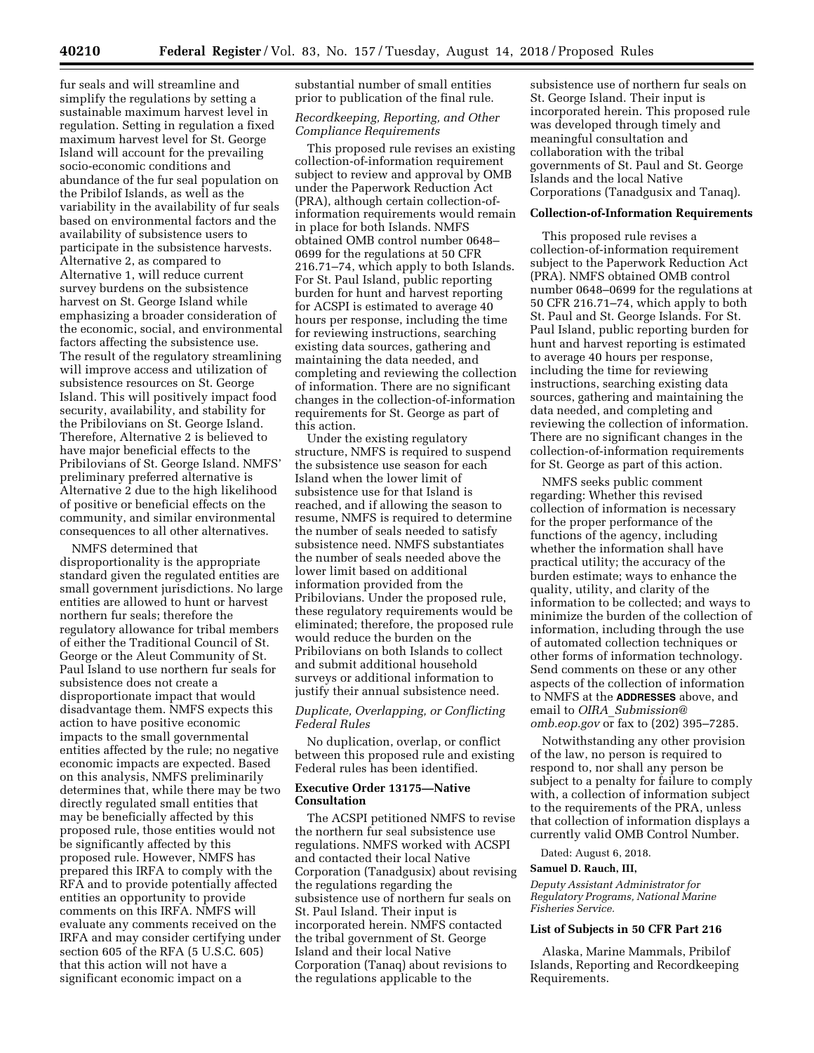fur seals and will streamline and simplify the regulations by setting a sustainable maximum harvest level in regulation. Setting in regulation a fixed maximum harvest level for St. George Island will account for the prevailing socio-economic conditions and abundance of the fur seal population on the Pribilof Islands, as well as the variability in the availability of fur seals based on environmental factors and the availability of subsistence users to participate in the subsistence harvests. Alternative 2, as compared to Alternative 1, will reduce current survey burdens on the subsistence harvest on St. George Island while emphasizing a broader consideration of the economic, social, and environmental factors affecting the subsistence use. The result of the regulatory streamlining will improve access and utilization of subsistence resources on St. George Island. This will positively impact food security, availability, and stability for the Pribilovians on St. George Island. Therefore, Alternative 2 is believed to have major beneficial effects to the Pribilovians of St. George Island. NMFS' preliminary preferred alternative is Alternative 2 due to the high likelihood of positive or beneficial effects on the community, and similar environmental consequences to all other alternatives.

NMFS determined that disproportionality is the appropriate standard given the regulated entities are small government jurisdictions. No large entities are allowed to hunt or harvest northern fur seals; therefore the regulatory allowance for tribal members of either the Traditional Council of St. George or the Aleut Community of St. Paul Island to use northern fur seals for subsistence does not create a disproportionate impact that would disadvantage them. NMFS expects this action to have positive economic impacts to the small governmental entities affected by the rule; no negative economic impacts are expected. Based on this analysis, NMFS preliminarily determines that, while there may be two directly regulated small entities that may be beneficially affected by this proposed rule, those entities would not be significantly affected by this proposed rule. However, NMFS has prepared this IRFA to comply with the RFA and to provide potentially affected entities an opportunity to provide comments on this IRFA. NMFS will evaluate any comments received on the IRFA and may consider certifying under section 605 of the RFA (5 U.S.C. 605) that this action will not have a significant economic impact on a

substantial number of small entities prior to publication of the final rule.

#### *Recordkeeping, Reporting, and Other Compliance Requirements*

This proposed rule revises an existing collection-of-information requirement subject to review and approval by OMB under the Paperwork Reduction Act (PRA), although certain collection-ofinformation requirements would remain in place for both Islands. NMFS obtained OMB control number 0648– 0699 for the regulations at 50 CFR 216.71–74, which apply to both Islands. For St. Paul Island, public reporting burden for hunt and harvest reporting for ACSPI is estimated to average 40 hours per response, including the time for reviewing instructions, searching existing data sources, gathering and maintaining the data needed, and completing and reviewing the collection of information. There are no significant changes in the collection-of-information requirements for St. George as part of this action.

Under the existing regulatory structure, NMFS is required to suspend the subsistence use season for each Island when the lower limit of subsistence use for that Island is reached, and if allowing the season to resume, NMFS is required to determine the number of seals needed to satisfy subsistence need. NMFS substantiates the number of seals needed above the lower limit based on additional information provided from the Pribilovians. Under the proposed rule, these regulatory requirements would be eliminated; therefore, the proposed rule would reduce the burden on the Pribilovians on both Islands to collect and submit additional household surveys or additional information to justify their annual subsistence need.

## *Duplicate, Overlapping, or Conflicting Federal Rules*

No duplication, overlap, or conflict between this proposed rule and existing Federal rules has been identified.

## **Executive Order 13175—Native Consultation**

The ACSPI petitioned NMFS to revise the northern fur seal subsistence use regulations. NMFS worked with ACSPI and contacted their local Native Corporation (Tanadgusix) about revising the regulations regarding the subsistence use of northern fur seals on St. Paul Island. Their input is incorporated herein. NMFS contacted the tribal government of St. George Island and their local Native Corporation (Tanaq) about revisions to the regulations applicable to the

subsistence use of northern fur seals on St. George Island. Their input is incorporated herein. This proposed rule was developed through timely and meaningful consultation and collaboration with the tribal governments of St. Paul and St. George Islands and the local Native Corporations (Tanadgusix and Tanaq).

#### **Collection-of-Information Requirements**

This proposed rule revises a collection-of-information requirement subject to the Paperwork Reduction Act (PRA). NMFS obtained OMB control number 0648–0699 for the regulations at 50 CFR 216.71–74, which apply to both St. Paul and St. George Islands. For St. Paul Island, public reporting burden for hunt and harvest reporting is estimated to average 40 hours per response, including the time for reviewing instructions, searching existing data sources, gathering and maintaining the data needed, and completing and reviewing the collection of information. There are no significant changes in the collection-of-information requirements for St. George as part of this action.

NMFS seeks public comment regarding: Whether this revised collection of information is necessary for the proper performance of the functions of the agency, including whether the information shall have practical utility; the accuracy of the burden estimate; ways to enhance the quality, utility, and clarity of the information to be collected; and ways to minimize the burden of the collection of information, including through the use of automated collection techniques or other forms of information technology. Send comments on these or any other aspects of the collection of information to NMFS at the **ADDRESSES** above, and email to *OIRA*\_*[Submission@](mailto:OIRA_Submission@omb.eop.gov) [omb.eop.gov](mailto:OIRA_Submission@omb.eop.gov)* or fax to (202) 395–7285.

Notwithstanding any other provision of the law, no person is required to respond to, nor shall any person be subject to a penalty for failure to comply with, a collection of information subject to the requirements of the PRA, unless that collection of information displays a currently valid OMB Control Number.

Dated: August 6, 2018.

#### **Samuel D. Rauch, III,**

*Deputy Assistant Administrator for Regulatory Programs, National Marine Fisheries Service.* 

## **List of Subjects in 50 CFR Part 216**

Alaska, Marine Mammals, Pribilof Islands, Reporting and Recordkeeping Requirements.